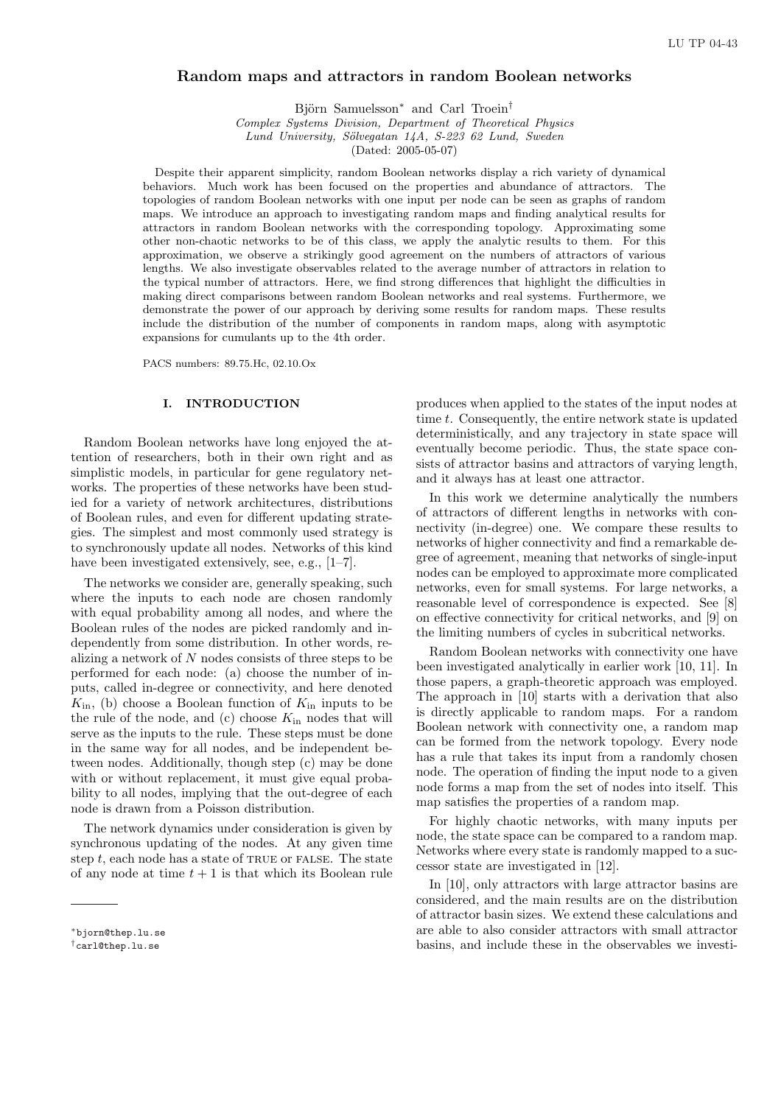# Random maps and attractors in random Boolean networks

Björn Samuelsson<sup>∗</sup> and Carl Troein<sup>†</sup>

Complex Systems Division, Department of Theoretical Physics

Lund University, Sölvegatan 14A, S-223 62 Lund, Sweden

(Dated: 2005-05-07)

Despite their apparent simplicity, random Boolean networks display a rich variety of dynamical behaviors. Much work has been focused on the properties and abundance of attractors. The topologies of random Boolean networks with one input per node can be seen as graphs of random maps. We introduce an approach to investigating random maps and finding analytical results for attractors in random Boolean networks with the corresponding topology. Approximating some other non-chaotic networks to be of this class, we apply the analytic results to them. For this approximation, we observe a strikingly good agreement on the numbers of attractors of various lengths. We also investigate observables related to the average number of attractors in relation to the typical number of attractors. Here, we find strong differences that highlight the difficulties in making direct comparisons between random Boolean networks and real systems. Furthermore, we demonstrate the power of our approach by deriving some results for random maps. These results include the distribution of the number of components in random maps, along with asymptotic expansions for cumulants up to the 4th order.

PACS numbers: 89.75.Hc, 02.10.Ox

### I. INTRODUCTION

Random Boolean networks have long enjoyed the attention of researchers, both in their own right and as simplistic models, in particular for gene regulatory networks. The properties of these networks have been studied for a variety of network architectures, distributions of Boolean rules, and even for different updating strategies. The simplest and most commonly used strategy is to synchronously update all nodes. Networks of this kind have been investigated extensively, see, e.g., [1–7].

The networks we consider are, generally speaking, such where the inputs to each node are chosen randomly with equal probability among all nodes, and where the Boolean rules of the nodes are picked randomly and independently from some distribution. In other words, realizing a network of N nodes consists of three steps to be performed for each node: (a) choose the number of inputs, called in-degree or connectivity, and here denoted  $K_{\text{in}}$ , (b) choose a Boolean function of  $K_{\text{in}}$  inputs to be the rule of the node, and (c) choose  $K_{\text{in}}$  nodes that will serve as the inputs to the rule. These steps must be done in the same way for all nodes, and be independent between nodes. Additionally, though step (c) may be done with or without replacement, it must give equal probability to all nodes, implying that the out-degree of each node is drawn from a Poisson distribution.

The network dynamics under consideration is given by synchronous updating of the nodes. At any given time step  $t$ , each node has a state of TRUE or FALSE. The state of any node at time  $t + 1$  is that which its Boolean rule produces when applied to the states of the input nodes at time t. Consequently, the entire network state is updated deterministically, and any trajectory in state space will eventually become periodic. Thus, the state space consists of attractor basins and attractors of varying length, and it always has at least one attractor.

In this work we determine analytically the numbers of attractors of different lengths in networks with connectivity (in-degree) one. We compare these results to networks of higher connectivity and find a remarkable degree of agreement, meaning that networks of single-input nodes can be employed to approximate more complicated networks, even for small systems. For large networks, a reasonable level of correspondence is expected. See [8] on effective connectivity for critical networks, and [9] on the limiting numbers of cycles in subcritical networks.

Random Boolean networks with connectivity one have been investigated analytically in earlier work [10, 11]. In those papers, a graph-theoretic approach was employed. The approach in [10] starts with a derivation that also is directly applicable to random maps. For a random Boolean network with connectivity one, a random map can be formed from the network topology. Every node has a rule that takes its input from a randomly chosen node. The operation of finding the input node to a given node forms a map from the set of nodes into itself. This map satisfies the properties of a random map.

For highly chaotic networks, with many inputs per node, the state space can be compared to a random map. Networks where every state is randomly mapped to a successor state are investigated in [12].

In [10], only attractors with large attractor basins are considered, and the main results are on the distribution of attractor basin sizes. We extend these calculations and are able to also consider attractors with small attractor basins, and include these in the observables we investi-

<sup>∗</sup>bjorn@thep.lu.se

<sup>†</sup>carl@thep.lu.se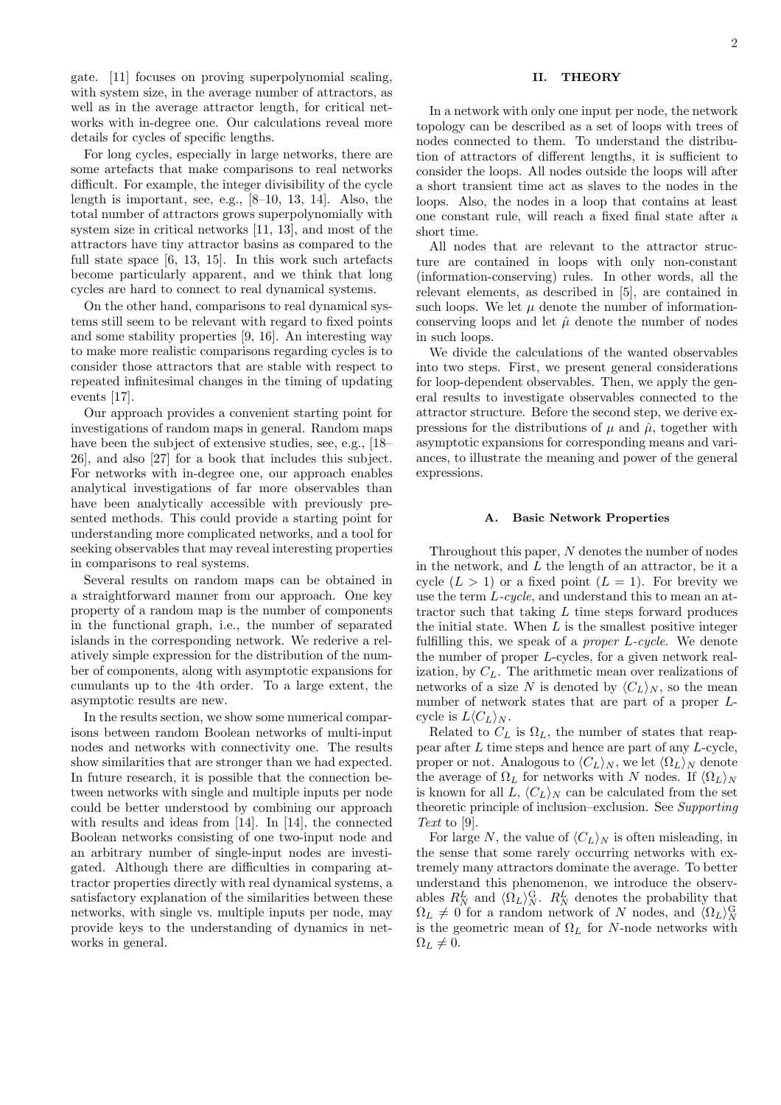gate. [11] focuses on proving superpolynomial scaling, with system size, in the average number of attractors, as well as in the average attractor length, for critical networks with in-degree one. Our calculations reveal more details for cycles of specific lengths.

For long cycles, especially in large networks, there are some artefacts that make comparisons to real networks difficult. For example, the integer divisibility of the cycle length is important, see, e.g., [8–10, 13, 14]. Also, the total number of attractors grows superpolynomially with system size in critical networks [11, 13], and most of the attractors have tiny attractor basins as compared to the full state space [6, 13, 15]. In this work such artefacts become particularly apparent, and we think that long cycles are hard to connect to real dynamical systems.

On the other hand, comparisons to real dynamical systems still seem to be relevant with regard to fixed points and some stability properties [9, 16]. An interesting way to make more realistic comparisons regarding cycles is to consider those attractors that are stable with respect to repeated infinitesimal changes in the timing of updating events [17].

Our approach provides a convenient starting point for investigations of random maps in general. Random maps have been the subject of extensive studies, see, e.g., [18– 26], and also [27] for a book that includes this subject. For networks with in-degree one, our approach enables analytical investigations of far more observables than have been analytically accessible with previously presented methods. This could provide a starting point for understanding more complicated networks, and a tool for seeking observables that may reveal interesting properties in comparisons to real systems.

Several results on random maps can be obtained in a straightforward manner from our approach. One key property of a random map is the number of components in the functional graph, i.e., the number of separated islands in the corresponding network. We rederive a relatively simple expression for the distribution of the number of components, along with asymptotic expansions for cumulants up to the 4th order. To a large extent, the asymptotic results are new.

In the results section, we show some numerical comparisons between random Boolean networks of multi-input nodes and networks with connectivity one. The results show similarities that are stronger than we had expected. In future research, it is possible that the connection between networks with single and multiple inputs per node could be better understood by combining our approach with results and ideas from [14]. In [14], the connected Boolean networks consisting of one two-input node and an arbitrary number of single-input nodes are investigated. Although there are difficulties in comparing attractor properties directly with real dynamical systems, a satisfactory explanation of the similarities between these networks, with single vs. multiple inputs per node, may provide keys to the understanding of dynamics in networks in general.

### II. THEORY

In a network with only one input per node, the network topology can be described as a set of loops with trees of nodes connected to them. To understand the distribution of attractors of different lengths, it is sufficient to consider the loops. All nodes outside the loops will after a short transient time act as slaves to the nodes in the loops. Also, the nodes in a loop that contains at least one constant rule, will reach a fixed final state after a short time.

All nodes that are relevant to the attractor structure are contained in loops with only non-constant (information-conserving) rules. In other words, all the relevant elements, as described in [5], are contained in such loops. We let  $\mu$  denote the number of informationconserving loops and let  $\hat{\mu}$  denote the number of nodes in such loops.

We divide the calculations of the wanted observables into two steps. First, we present general considerations for loop-dependent observables. Then, we apply the general results to investigate observables connected to the attractor structure. Before the second step, we derive expressions for the distributions of  $\mu$  and  $\hat{\mu}$ , together with asymptotic expansions for corresponding means and variances, to illustrate the meaning and power of the general expressions.

#### A. Basic Network Properties

Throughout this paper,  $N$  denotes the number of nodes in the network, and  $L$  the length of an attractor, be it a cycle  $(L > 1)$  or a fixed point  $(L = 1)$ . For brevity we use the term L-cycle, and understand this to mean an attractor such that taking  $L$  time steps forward produces the initial state. When  $L$  is the smallest positive integer fulfilling this, we speak of a *proper L-cycle*. We denote the number of proper L-cycles, for a given network realization, by  $C_L$ . The arithmetic mean over realizations of networks of a size N is denoted by  $\langle C_L \rangle_N$ , so the mean number of network states that are part of a proper Lcycle is  $L\langle C_L\rangle_N$ .

Related to  $C_L$  is  $\Omega_L$ , the number of states that reappear after L time steps and hence are part of any L-cycle, proper or not. Analogous to  $\langle C_L \rangle_N$ , we let  $\langle \Omega_L \rangle_N$  denote the average of  $\Omega_L$  for networks with N nodes. If  $\langle \Omega_L \rangle_N$ is known for all L,  $\langle C_L \rangle_N$  can be calculated from the set theoretic principle of inclusion–exclusion. See Supporting Text to [9].

For large N, the value of  $\langle C_L \rangle_N$  is often misleading, in the sense that some rarely occurring networks with extremely many attractors dominate the average. To better understand this phenomenon, we introduce the observables  $R_N^L$  and  $\langle \Omega_L \rangle_N^{\text{G}}$ .  $R_N^L$  denotes the probability that  $\Omega_L \neq 0$  for a random network of N nodes, and  $\langle \Omega_L \rangle_N^{\text{G}}$ is the geometric mean of  $\Omega_L$  for N-node networks with  $\Omega_L \neq 0.$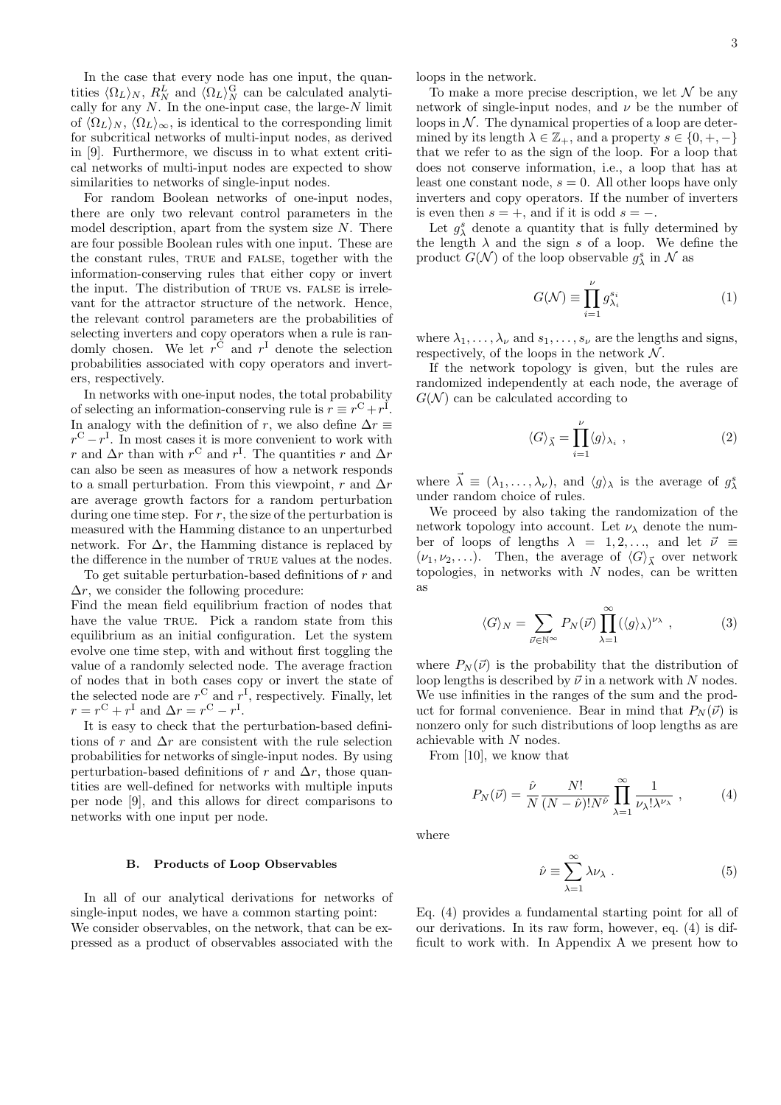In the case that every node has one input, the quantities  $\langle \Omega_L \rangle_N$ ,  $R_N^L$  and  $\langle \Omega_L \rangle_N^{\text{G}}$  can be calculated analytically for any  $N$ . In the one-input case, the large- $N$  limit of  $\langle \Omega_L \rangle_N$ ,  $\langle \Omega_L \rangle_\infty$ , is identical to the corresponding limit for subcritical networks of multi-input nodes, as derived in [9]. Furthermore, we discuss in to what extent critical networks of multi-input nodes are expected to show similarities to networks of single-input nodes.

For random Boolean networks of one-input nodes, there are only two relevant control parameters in the model description, apart from the system size  $N$ . There are four possible Boolean rules with one input. These are the constant rules, TRUE and FALSE, together with the information-conserving rules that either copy or invert the input. The distribution of true vs. false is irrelevant for the attractor structure of the network. Hence, the relevant control parameters are the probabilities of selecting inverters and copy operators when a rule is randomly chosen. We let  $r^C$  and  $r^I$  denote the selection probabilities associated with copy operators and inverters, respectively.

In networks with one-input nodes, the total probability of selecting an information-conserving rule is  $r \equiv r^C + r^I$ . In analogy with the definition of r, we also define  $\Delta r \equiv$  $r^{\text{C}} - r^{\text{I}}$ . In most cases it is more convenient to work with r and  $\Delta r$  than with  $r^{\text{C}}$  and  $r^{\text{I}}$ . The quantities r and  $\Delta r$ can also be seen as measures of how a network responds to a small perturbation. From this viewpoint, r and  $\Delta r$ are average growth factors for a random perturbation during one time step. For  $r$ , the size of the perturbation is measured with the Hamming distance to an unperturbed network. For  $\Delta r$ , the Hamming distance is replaced by the difference in the number of TRUE values at the nodes. To get suitable perturbation-based definitions of r and

 $\Delta r$ , we consider the following procedure: Find the mean field equilibrium fraction of nodes that have the value TRUE. Pick a random state from this equilibrium as an initial configuration. Let the system evolve one time step, with and without first toggling the value of a randomly selected node. The average fraction of nodes that in both cases copy or invert the state of the selected node are  $r^{\text{C}}$  and  $r^{\text{I}}$ , respectively. Finally, let  $r = r^{\mathcal{C}} + r^{\mathcal{I}}$  and  $\Delta r = r^{\mathcal{C}} - r^{\mathcal{I}}$ .

It is easy to check that the perturbation-based definitions of r and  $\Delta r$  are consistent with the rule selection probabilities for networks of single-input nodes. By using perturbation-based definitions of r and  $\Delta r$ , those quantities are well-defined for networks with multiple inputs per node [9], and this allows for direct comparisons to networks with one input per node.

#### B. Products of Loop Observables

In all of our analytical derivations for networks of single-input nodes, we have a common starting point: We consider observables, on the network, that can be expressed as a product of observables associated with the loops in the network.

To make a more precise description, we let  $\mathcal N$  be any network of single-input nodes, and  $\nu$  be the number of loops in  $N$ . The dynamical properties of a loop are determined by its length  $\lambda \in \mathbb{Z}_+$ , and a property  $s \in \{0, +, -\}$ that we refer to as the sign of the loop. For a loop that does not conserve information, i.e., a loop that has at least one constant node,  $s = 0$ . All other loops have only inverters and copy operators. If the number of inverters is even then  $s = +$ , and if it is odd  $s = -$ .

Let  $g_{\lambda}^{s}$  denote a quantity that is fully determined by the length  $\lambda$  and the sign s of a loop. We define the product  $G(\mathcal{N})$  of the loop observable  $g_{\lambda}^{s}$  in  $\mathcal{N}$  as

$$
G(\mathcal{N}) \equiv \prod_{i=1}^{\nu} g_{\lambda_i}^{s_i} \tag{1}
$$

where  $\lambda_1, \ldots, \lambda_{\nu}$  and  $s_1, \ldots, s_{\nu}$  are the lengths and signs, respectively, of the loops in the network  $N$ .

If the network topology is given, but the rules are randomized independently at each node, the average of  $G(N)$  can be calculated according to

$$
\langle G \rangle_{\vec{\lambda}} = \prod_{i=1}^{\nu} \langle g \rangle_{\lambda_i} \;, \tag{2}
$$

where  $\vec{\lambda} \equiv (\lambda_1, \ldots, \lambda_\nu)$ , and  $\langle g \rangle_{\lambda}$  is the average of  $g_{\lambda}^s$ under random choice of rules.

We proceed by also taking the randomization of the network topology into account. Let  $\nu_{\lambda}$  denote the number of loops of lengths  $\lambda = 1, 2, \dots$ , and let  $\vec{\nu} \equiv$  $(\nu_1, \nu_2, \ldots)$ . Then, the average of  $\langle G \rangle_{\vec{\lambda}}$  over network topologies, in networks with  $N$  nodes, can be written as

$$
\langle G \rangle_N = \sum_{\vec{\nu} \in \mathbb{N}^\infty} P_N(\vec{\nu}) \prod_{\lambda=1}^\infty (\langle g \rangle_\lambda)^{\nu_\lambda} , \qquad (3)
$$

where  $P_N(\vec{\nu})$  is the probability that the distribution of loop lengths is described by  $\vec{\nu}$  in a network with N nodes. We use infinities in the ranges of the sum and the product for formal convenience. Bear in mind that  $P_N(\vec{v})$  is nonzero only for such distributions of loop lengths as are achievable with N nodes.

From [10], we know that

$$
P_N(\vec{\nu}) = \frac{\hat{\nu}}{N} \frac{N!}{(N - \hat{\nu})! N^{\hat{\nu}}} \prod_{\lambda=1}^{\infty} \frac{1}{\nu_{\lambda}! \lambda^{\nu_{\lambda}}} , \qquad (4)
$$

where

$$
\hat{\nu} \equiv \sum_{\lambda=1}^{\infty} \lambda \nu_{\lambda} . \tag{5}
$$

Eq. (4) provides a fundamental starting point for all of our derivations. In its raw form, however, eq. (4) is difficult to work with. In Appendix A we present how to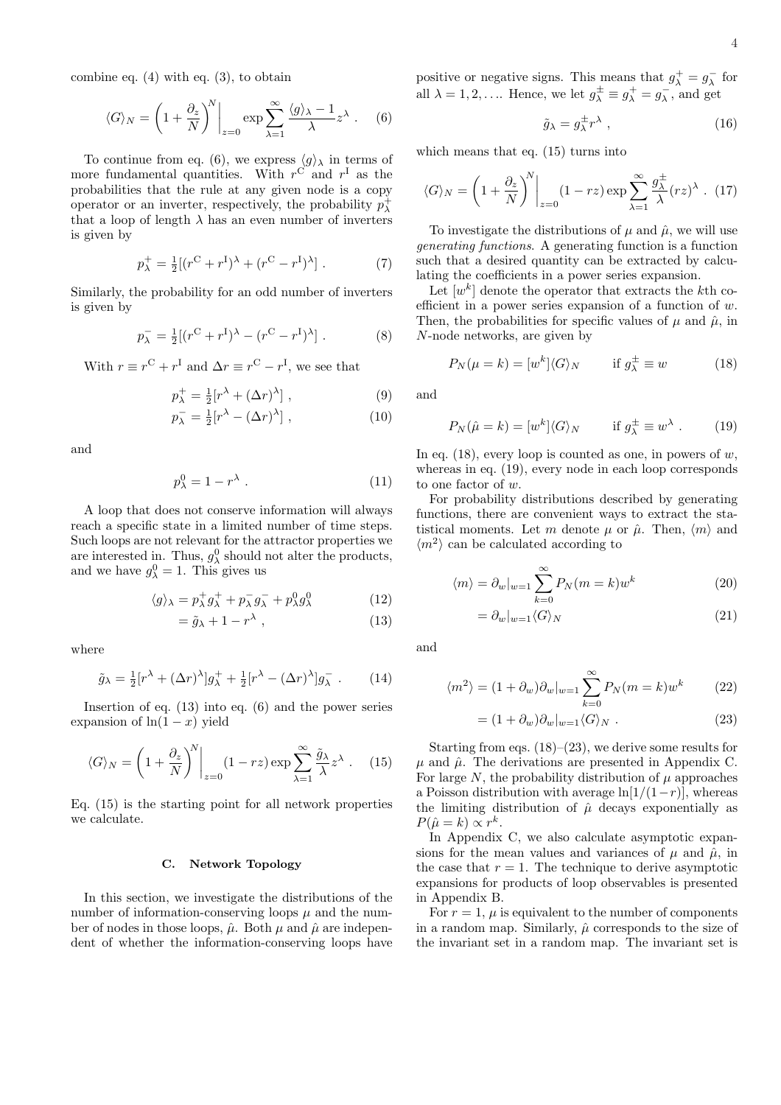combine eq. (4) with eq. (3), to obtain

$$
\langle G \rangle_N = \left(1 + \frac{\partial_z}{N}\right)^N \bigg|_{z=0} \exp \sum_{\lambda=1}^\infty \frac{\langle g \rangle_\lambda - 1}{\lambda} z^\lambda .
$$
 (6)

To continue from eq. (6), we express  $\langle g \rangle_{\lambda}$  in terms of more fundamental quantities. With  $r^C$  and  $r^I$  as the probabilities that the rule at any given node is a copy operator or an inverter, respectively, the probability  $p_{\lambda}^{+}$ that a loop of length  $\lambda$  has an even number of inverters is given by

$$
p_{\lambda}^{+} = \frac{1}{2} [(r^{C} + r^{I})^{\lambda} + (r^{C} - r^{I})^{\lambda}].
$$
 (7)

Similarly, the probability for an odd number of inverters is given by

$$
p_{\lambda}^{-} = \frac{1}{2} [(r^{C} + r^{I})^{\lambda} - (r^{C} - r^{I})^{\lambda}].
$$
 (8)

With  $r \equiv r^{\rm C} + r^{\rm I}$  and  $\Delta r \equiv r^{\rm C} - r^{\rm I}$ , we see that

$$
p_{\lambda}^{+} = \frac{1}{2} [r^{\lambda} + (\Delta r)^{\lambda}], \qquad (9)
$$

$$
p_{\lambda}^{-} = \frac{1}{2} [r^{\lambda} - (\Delta r)^{\lambda}], \qquad (10)
$$

and

$$
p_{\lambda}^{0} = 1 - r^{\lambda} . \tag{11}
$$

A loop that does not conserve information will always reach a specific state in a limited number of time steps. Such loops are not relevant for the attractor properties we are interested in. Thus,  $g_{\lambda}^{0}$  should not alter the products, and we have  $g_{\lambda}^0 = 1$ . This gives us

$$
\langle g \rangle_{\lambda} = p_{\lambda}^{+} g_{\lambda}^{+} + p_{\lambda}^{-} g_{\lambda}^{-} + p_{\lambda}^{0} g_{\lambda}^{0} \tag{12}
$$

$$
=\tilde{g}_{\lambda}+1-r^{\lambda} , \qquad (13)
$$

where

$$
\tilde{g}_{\lambda} = \frac{1}{2} [r^{\lambda} + (\Delta r)^{\lambda}] g_{\lambda}^{+} + \frac{1}{2} [r^{\lambda} - (\Delta r)^{\lambda}] g_{\lambda}^{-} . \qquad (14)
$$

Insertion of eq.  $(13)$  into eq.  $(6)$  and the power series expansion of  $ln(1-x)$  yield

$$
\langle G \rangle_N = \left(1 + \frac{\partial_z}{N}\right)^N \bigg|_{z=0} (1 - rz) \exp \sum_{\lambda=1}^{\infty} \frac{\tilde{g}_{\lambda}}{\lambda} z^{\lambda} . \quad (15)
$$

Eq. (15) is the starting point for all network properties we calculate.

#### C. Network Topology

In this section, we investigate the distributions of the number of information-conserving loops  $\mu$  and the number of nodes in those loops,  $\hat{\mu}$ . Both  $\mu$  and  $\hat{\mu}$  are independent of whether the information-conserving loops have positive or negative signs. This means that  $g^+_\lambda = g^-_\lambda$  for all  $\lambda = 1, 2, \dots$  Hence, we let  $g_{\lambda}^{\pm} \equiv g_{\lambda}^{+} = g_{\lambda}^{-}$ , and get

$$
\tilde{g}_{\lambda} = g_{\lambda}^{\pm} r^{\lambda} , \qquad (16)
$$

which means that eq. (15) turns into

$$
\langle G \rangle_N = \left(1 + \frac{\partial_z}{N}\right)^N \bigg|_{z=0} (1 - rz) \exp \sum_{\lambda=1}^{\infty} \frac{g_{\lambda}^{\pm}}{\lambda} (rz)^{\lambda} . (17)
$$

To investigate the distributions of  $\mu$  and  $\hat{\mu}$ , we will use generating functions. A generating function is a function such that a desired quantity can be extracted by calculating the coefficients in a power series expansion.

Let  $[w^k]$  denote the operator that extracts the kth coefficient in a power series expansion of a function of  $w$ . Then, the probabilities for specific values of  $\mu$  and  $\hat{\mu}$ , in N-node networks, are given by

$$
P_N(\mu = k) = [w^k] \langle G \rangle_N \quad \text{if } g^{\pm}_\lambda \equiv w \tag{18}
$$

and

$$
P_N(\hat{\mu} = k) = [w^k] \langle G \rangle_N \quad \text{if } g^{\pm}_{\lambda} \equiv w^{\lambda} . \quad (19)
$$

In eq.  $(18)$ , every loop is counted as one, in powers of w, whereas in eq. (19), every node in each loop corresponds to one factor of w.

For probability distributions described by generating functions, there are convenient ways to extract the statistical moments. Let m denote  $\mu$  or  $\hat{\mu}$ . Then,  $\langle m \rangle$  and  $\langle m^2 \rangle$  can be calculated according to

$$
\langle m \rangle = \partial_w |_{w=1} \sum_{k=0}^{\infty} P_N(m=k) w^k \tag{20}
$$

$$
=\partial_w|_{w=1}\langle G\rangle_N\tag{21}
$$

and

 $\langle$ 

$$
m^2 \rangle = (1 + \partial_w)\partial_w|_{w=1} \sum_{k=0}^{\infty} P_N(m=k)w^k \qquad (22)
$$

$$
= (1 + \partial_w)\partial_w|_{w=1} \langle G \rangle_N . \tag{23}
$$

Starting from eqs.  $(18)$ – $(23)$ , we derive some results for  $\mu$  and  $\hat{\mu}$ . The derivations are presented in Appendix C. For large N, the probability distribution of  $\mu$  approaches a Poisson distribution with average  $\ln(1/(1-r))$ , whereas the limiting distribution of  $\hat{\mu}$  decays exponentially as  $P(\hat{\mu} = k) \propto r^k$ .

In Appendix C, we also calculate asymptotic expansions for the mean values and variances of  $\mu$  and  $\hat{\mu}$ , in the case that  $r = 1$ . The technique to derive asymptotic expansions for products of loop observables is presented in Appendix B.

For  $r = 1$ ,  $\mu$  is equivalent to the number of components in a random map. Similarly,  $\hat{\mu}$  corresponds to the size of the invariant set in a random map. The invariant set is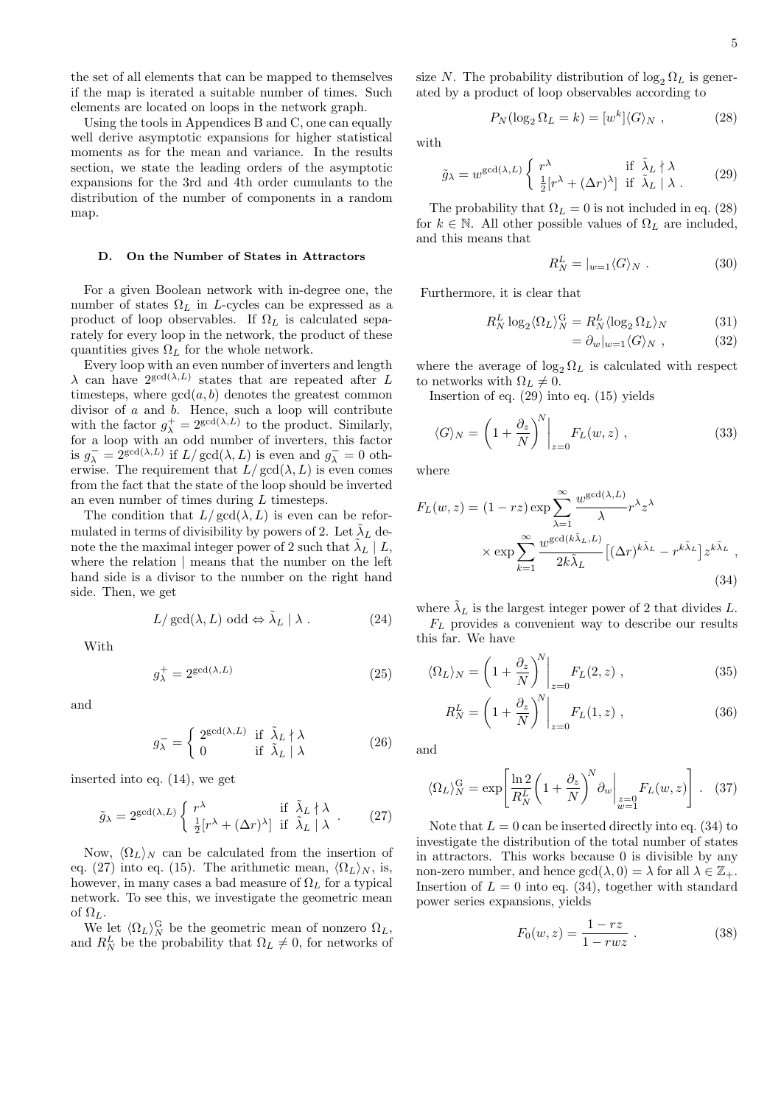the set of all elements that can be mapped to themselves if the map is iterated a suitable number of times. Such elements are located on loops in the network graph.

Using the tools in Appendices B and C, one can equally well derive asymptotic expansions for higher statistical moments as for the mean and variance. In the results section, we state the leading orders of the asymptotic expansions for the 3rd and 4th order cumulants to the distribution of the number of components in a random map.

#### D. On the Number of States in Attractors

For a given Boolean network with in-degree one, the number of states  $\Omega_L$  in L-cycles can be expressed as a product of loop observables. If  $\Omega_L$  is calculated separately for every loop in the network, the product of these quantities gives  $\Omega_L$  for the whole network.

Every loop with an even number of inverters and length  $\lambda$  can have  $2^{\gcd(\lambda,L)}$  states that are repeated after L timesteps, where  $gcd(a, b)$  denotes the greatest common divisor of a and b. Hence, such a loop will contribute with the factor  $g_{\lambda}^{+} = 2^{\gcd(\lambda, L)}$  to the product. Similarly, for a loop with an odd number of inverters, this factor is  $g_{\lambda}^- = 2^{\gcd(\lambda, L)}$  if  $L/\gcd(\lambda, L)$  is even and  $g_{\lambda}^- = 0$  otherwise. The requirement that  $L/\gcd(\lambda, L)$  is even comes from the fact that the state of the loop should be inverted an even number of times during L timesteps.

The condition that  $L/\text{gcd}(\lambda, L)$  is even can be reformulated in terms of divisibility by powers of 2. Let  $\tilde{\lambda}_L$  denote the the maximal integer power of 2 such that  $\tilde{\lambda}_L^{\mathcal{L}} | L$ , where the relation | means that the number on the left hand side is a divisor to the number on the right hand side. Then, we get

$$
L/\gcd(\lambda, L) \text{ odd} \Leftrightarrow \tilde{\lambda}_L \mid \lambda . \tag{24}
$$

With

$$
g_{\lambda}^{+} = 2^{\gcd(\lambda, L)} \tag{25}
$$

and

$$
g_{\lambda}^{-} = \begin{cases} 2^{\gcd(\lambda, L)} & \text{if } \tilde{\lambda}_{L} \nmid \lambda \\ 0 & \text{if } \tilde{\lambda}_{L} \mid \lambda \end{cases}
$$
 (26)

inserted into eq. (14), we get

$$
\tilde{g}_{\lambda} = 2^{\text{gcd}(\lambda, L)} \begin{cases} r^{\lambda} & \text{if } \tilde{\lambda}_L \nmid \lambda \\ \frac{1}{2} [r^{\lambda} + (\Delta r)^{\lambda}] & \text{if } \tilde{\lambda}_L \mid \lambda \end{cases} . \tag{27}
$$

Now,  $\langle \Omega_L \rangle_N$  can be calculated from the insertion of eq. (27) into eq. (15). The arithmetic mean,  $\langle \Omega_L \rangle_N$ , is, however, in many cases a bad measure of  $\Omega_L$  for a typical network. To see this, we investigate the geometric mean of  $\Omega_L$ .

We let  $\langle \Omega_L \rangle_N^{\text{G}}$  be the geometric mean of nonzero  $\Omega_L$ , and  $R_N^L$  be the probability that  $\Omega_L \neq 0$ , for networks of size N. The probability distribution of  $\log_2 \Omega_L$  is generated by a product of loop observables according to

$$
P_N(\log_2 \Omega_L = k) = [w^k] \langle G \rangle_N , \qquad (28)
$$

with

$$
\tilde{g}_{\lambda} = w^{\gcd(\lambda, L)} \begin{cases} r^{\lambda} & \text{if } \tilde{\lambda}_L \nmid \lambda \\ \frac{1}{2} [r^{\lambda} + (\Delta r)^{\lambda}] & \text{if } \tilde{\lambda}_L \mid \lambda . \end{cases}
$$
 (29)

The probability that  $\Omega_L = 0$  is not included in eq. (28) for  $k \in \mathbb{N}$ . All other possible values of  $\Omega_L$  are included, and this means that

$$
R_N^L = |_{w=1} \langle G \rangle_N . \tag{30}
$$

Furthermore, it is clear that

$$
R_N^L \log_2 \langle \Omega_L \rangle_N^{\text{G}} = R_N^L \langle \log_2 \Omega_L \rangle_N \tag{31}
$$

$$
= \partial_w|_{w=1} \langle G \rangle_N , \qquad (32)
$$

where the average of  $\log_2 \Omega_L$  is calculated with respect to networks with  $\Omega_L \neq 0$ .

Insertion of eq. (29) into eq. (15) yields

$$
\langle G \rangle_N = \left( 1 + \frac{\partial_z}{N} \right)^N \bigg|_{z=0} F_L(w, z) \;, \tag{33}
$$

where

$$
F_L(w, z) = (1 - rz) \exp \sum_{\lambda=1}^{\infty} \frac{w^{\gcd(\lambda, L)}}{\lambda} r^{\lambda} z^{\lambda}
$$

$$
\times \exp \sum_{k=1}^{\infty} \frac{w^{\gcd(k\tilde{\lambda}_L, L)}}{2k\tilde{\lambda}_L} [(\Delta r)^{k\tilde{\lambda}_L} - r^{k\tilde{\lambda}_L}] z^{k\tilde{\lambda}_L},
$$
(34)

where  $\tilde{\lambda}_L$  is the largest integer power of 2 that divides L.  $F_L$  provides a convenient way to describe our results this far. We have

$$
\langle \Omega_L \rangle_N = \left( 1 + \frac{\partial_z}{N} \right)^N \Big|_{z=0} F_L(2, z) , \qquad (35)
$$

$$
R_N^L = \left(1 + \frac{\partial_z}{N}\right)^N \bigg|_{z=0} F_L(1, z) , \qquad (36)
$$

and

$$
\langle \Omega_L \rangle_N^{\rm G} = \exp\left[\frac{\ln 2}{R_N^L} \left(1 + \frac{\partial_z}{N}\right)^N \partial_w\bigg|_{\substack{z=0\\w=1}} F_L(w, z)\right]. \tag{37}
$$

Note that  $L = 0$  can be inserted directly into eq. (34) to investigate the distribution of the total number of states in attractors. This works because 0 is divisible by any non-zero number, and hence  $gcd(\lambda, 0) = \lambda$  for all  $\lambda \in \mathbb{Z}_+$ . Insertion of  $L = 0$  into eq. (34), together with standard power series expansions, yields

$$
F_0(w, z) = \frac{1 - rz}{1 - rwz} \ . \tag{38}
$$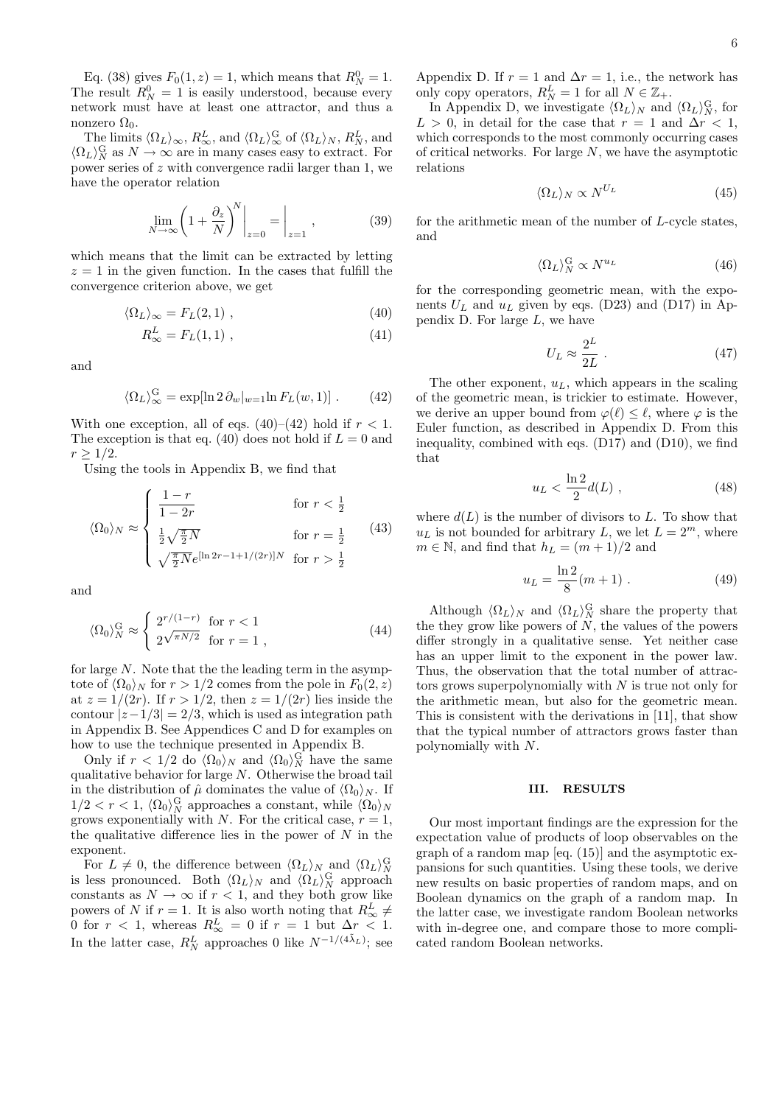Eq. (38) gives  $F_0(1, z) = 1$ , which means that  $R_N^0 = 1$ . The result  $R_N^0 = 1$  is easily understood, because every network must have at least one attractor, and thus a nonzero  $\Omega_0$ .

The limits  $\langle \Omega_L \rangle_{\infty}$ ,  $R_{\infty}^L$ , and  $\langle \Omega_L \rangle_{\infty}^G$  of  $\langle \Omega_L \rangle_N$ ,  $R_N^L$ , and  $\langle \Omega_L \rangle_N^{\text{G}}$  as  $N \to \infty$  are in many cases easy to extract. For power series of z with convergence radii larger than 1, we have the operator relation

$$
\lim_{N \to \infty} \left( 1 + \frac{\partial_z}{N} \right)^N \bigg|_{z=0} = \bigg|_{z=1} , \tag{39}
$$

which means that the limit can be extracted by letting  $z = 1$  in the given function. In the cases that fulfill the convergence criterion above, we get

$$
\langle \Omega_L \rangle_{\infty} = F_L(2, 1) \tag{40}
$$

$$
R_{\infty}^{L} = F_L(1,1) \tag{41}
$$

and

$$
\langle \Omega_L \rangle_{\infty}^{\rm G} = \exp[\ln 2 \, \partial_w|_{w=1} \ln F_L(w, 1)] \ . \tag{42}
$$

With one exception, all of eqs.  $(40)–(42)$  hold if  $r < 1$ . The exception is that eq. (40) does not hold if  $L = 0$  and  $r > 1/2$ .

Using the tools in Appendix B, we find that

$$
\langle \Omega_0 \rangle_N \approx \begin{cases} \frac{1-r}{1-2r} & \text{for } r < \frac{1}{2} \\ \frac{1}{2} \sqrt{\frac{\pi}{2} N} & \text{for } r = \frac{1}{2} \\ \sqrt{\frac{\pi}{2} N} e^{\left[ \ln 2r - 1 + 1/(2r) \right] N} & \text{for } r > \frac{1}{2} \end{cases}
$$
(43)

and

$$
\langle \Omega_0 \rangle_N^{\rm G} \approx \begin{cases} 2^{r/(1-r)} & \text{for } r < 1 \\ 2^{\sqrt{\pi N/2}} & \text{for } r = 1 \end{cases} \tag{44}
$$

for large N. Note that the the leading term in the asymptote of  $\langle \Omega_0 \rangle_N$  for  $r > 1/2$  comes from the pole in  $F_0(2, z)$ at  $z = 1/(2r)$ . If  $r > 1/2$ , then  $z = 1/(2r)$  lies inside the contour  $|z-1/3| = 2/3$ , which is used as integration path in Appendix B. See Appendices C and D for examples on how to use the technique presented in Appendix B.

Only if  $r < 1/2$  do  $\langle \Omega_0 \rangle_N$  and  $\langle \Omega_0 \rangle_N^{\text{G}}$  have the same qualitative behavior for large N. Otherwise the broad tail in the distribution of  $\hat{\mu}$  dominates the value of  $\langle \Omega_0 \rangle_N$ . If  $1/2 < r < 1$ ,  $\langle \Omega_0 \rangle_N^{\text{G}}$  approaches a constant, while  $\langle \Omega_0 \rangle_N$ grows exponentially with N. For the critical case,  $r = 1$ , the qualitative difference lies in the power of  $N$  in the exponent.

For  $L \neq 0$ , the difference between  $\langle \Omega_L \rangle_N$  and  $\langle \Omega_L \rangle_N^{\text{G}}$ is less pronounced. Both  $\langle \Omega_L \rangle_N$  and  $\langle \Omega_L \rangle_N^{\text{G}}$  approach constants as  $N \to \infty$  if  $r < 1$ , and they both grow like powers of N if  $r = 1$ . It is also worth noting that  $R^L_{\infty} \neq$ 0 for  $r < 1$ , whereas  $R_{\infty}^L = 0$  if  $r = 1$  but  $\Delta r < 1$ . In the latter case,  $R_N^L$  approaches 0 like  $N^{-1/(4\tilde\lambda_L)}$ ; see Appendix D. If  $r = 1$  and  $\Delta r = 1$ , i.e., the network has only copy operators,  $R_N^L = 1$  for all  $N \in \mathbb{Z}_+$ .

In Appendix D, we investigate  $\langle \Omega_L \rangle_N$  and  $\langle \Omega_L \rangle_N^{\text{G}}$ , for  $L > 0$ , in detail for the case that  $r = 1$  and  $\Delta r < 1$ , which corresponds to the most commonly occurring cases of critical networks. For large  $N$ , we have the asymptotic relations

$$
\langle \Omega_L \rangle_N \propto N^{U_L} \tag{45}
$$

for the arithmetic mean of the number of L-cycle states, and

$$
\langle \Omega_L \rangle_N^{\rm G} \propto N^{u_L} \tag{46}
$$

for the corresponding geometric mean, with the exponents  $U_L$  and  $u_L$  given by eqs. (D23) and (D17) in Appendix  $D$ . For large  $L$ , we have

$$
U_L \approx \frac{2^L}{2L} \ . \tag{47}
$$

The other exponent,  $u_L$ , which appears in the scaling of the geometric mean, is trickier to estimate. However, we derive an upper bound from  $\varphi(\ell) \leq \ell$ , where  $\varphi$  is the Euler function, as described in Appendix D. From this inequality, combined with eqs. (D17) and (D10), we find that

$$
u_L < \frac{\ln 2}{2} d(L) \tag{48}
$$

where  $d(L)$  is the number of divisors to L. To show that  $u<sub>L</sub>$  is not bounded for arbitrary L, we let  $L = 2<sup>m</sup>$ , where  $m \in \mathbb{N}$ , and find that  $h_L = (m+1)/2$  and

$$
u_L = \frac{\ln 2}{8}(m+1) \ . \tag{49}
$$

Although  $\langle \Omega_L \rangle_N$  and  $\langle \Omega_L \rangle_N^{\text{G}}$  share the property that the they grow like powers of  $N$ , the values of the powers differ strongly in a qualitative sense. Yet neither case has an upper limit to the exponent in the power law. Thus, the observation that the total number of attractors grows superpolynomially with  $N$  is true not only for the arithmetic mean, but also for the geometric mean. This is consistent with the derivations in [11], that show that the typical number of attractors grows faster than polynomially with N.

### III. RESULTS

Our most important findings are the expression for the expectation value of products of loop observables on the graph of a random map [eq. (15)] and the asymptotic expansions for such quantities. Using these tools, we derive new results on basic properties of random maps, and on Boolean dynamics on the graph of a random map. In the latter case, we investigate random Boolean networks with in-degree one, and compare those to more complicated random Boolean networks.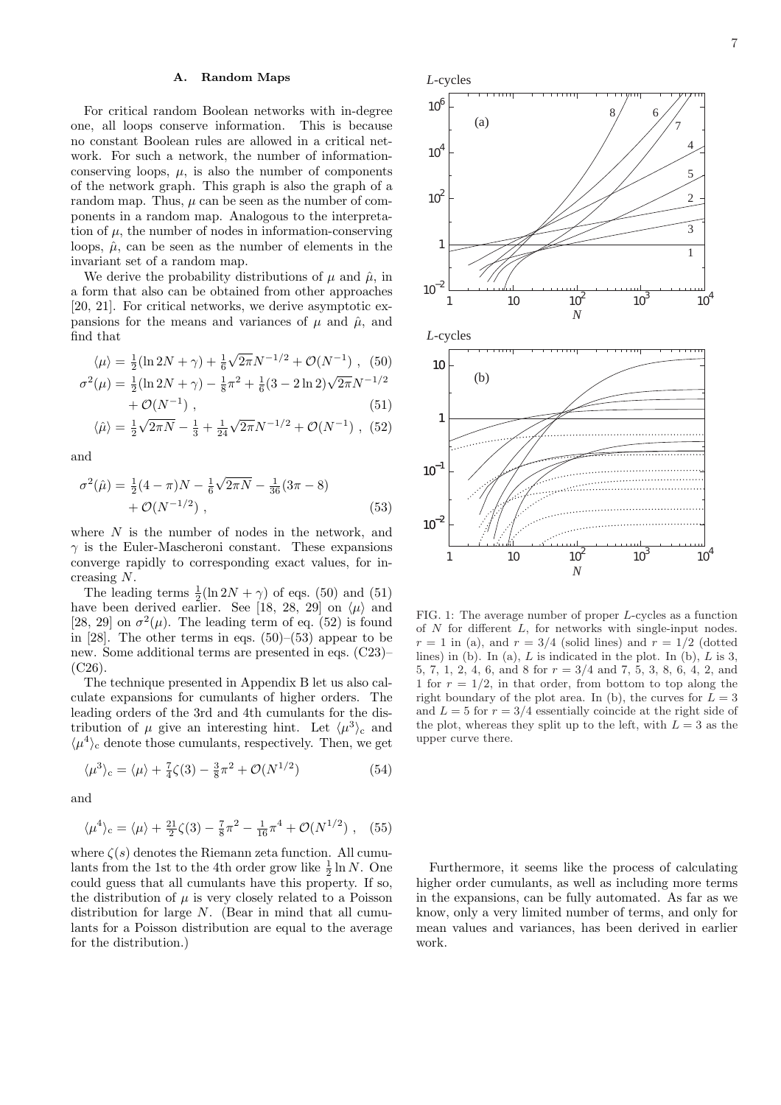### A. Random Maps

For critical random Boolean networks with in-degree one, all loops conserve information. This is because no constant Boolean rules are allowed in a critical network. For such a network, the number of informationconserving loops,  $\mu$ , is also the number of components of the network graph. This graph is also the graph of a random map. Thus,  $\mu$  can be seen as the number of components in a random map. Analogous to the interpretation of  $\mu$ , the number of nodes in information-conserving loops,  $\hat{\mu}$ , can be seen as the number of elements in the invariant set of a random map.

We derive the probability distributions of  $\mu$  and  $\hat{\mu}$ , in a form that also can be obtained from other approaches [20, 21]. For critical networks, we derive asymptotic expansions for the means and variances of  $\mu$  and  $\hat{\mu}$ , and find that

$$
\langle \mu \rangle = \frac{1}{2} (\ln 2N + \gamma) + \frac{1}{6} \sqrt{2\pi} N^{-1/2} + \mathcal{O}(N^{-1}),
$$
 (50)

$$
\sigma^{2}(\mu) = \frac{1}{2}(\ln 2N + \gamma) - \frac{1}{8}\pi^{2} + \frac{1}{6}(3 - 2\ln 2)\sqrt{2\pi}N^{-1/2} + \mathcal{O}(N^{-1}),
$$
\n(51)

$$
\langle \hat{\mu} \rangle = \frac{1}{2} \sqrt{2\pi N} - \frac{1}{3} + \frac{1}{24} \sqrt{2\pi} N^{-1/2} + \mathcal{O}(N^{-1}),
$$
 (52)

and

$$
\sigma^{2}(\hat{\mu}) = \frac{1}{2}(4-\pi)N - \frac{1}{6}\sqrt{2\pi N} - \frac{1}{36}(3\pi - 8) + \mathcal{O}(N^{-1/2}),
$$
\n(53)

where  $N$  is the number of nodes in the network, and  $\gamma$  is the Euler-Mascheroni constant. These expansions converge rapidly to corresponding exact values, for increasing N.

The leading terms  $\frac{1}{2}(\ln 2N + \gamma)$  of eqs. (50) and (51) have been derived earlier. See [18, 28, 29] on  $\langle \mu \rangle$  and [28, 29] on  $\sigma^2(\mu)$ . The leading term of eq. (52) is found in [28]. The other terms in eqs.  $(50)$ – $(53)$  appear to be new. Some additional terms are presented in eqs. (C23)– (C26).

The technique presented in Appendix B let us also calculate expansions for cumulants of higher orders. The leading orders of the 3rd and 4th cumulants for the distribution of  $\mu$  give an interesting hint. Let  $\langle \mu^3 \rangle_c$  and  $\langle \mu^4 \rangle_c$  denote those cumulants, respectively. Then, we get

$$
\langle \mu^3 \rangle_c = \langle \mu \rangle + \frac{7}{4}\zeta(3) - \frac{3}{8}\pi^2 + \mathcal{O}(N^{1/2})
$$
 (54)

and

$$
\langle \mu^4 \rangle_c = \langle \mu \rangle + \frac{21}{2}\zeta(3) - \frac{7}{8}\pi^2 - \frac{1}{16}\pi^4 + \mathcal{O}(N^{1/2}),
$$
 (55)

where  $\zeta(s)$  denotes the Riemann zeta function. All cumulants from the 1st to the 4th order grow like  $\frac{1}{2} \ln N$ . One could guess that all cumulants have this property. If so, the distribution of  $\mu$  is very closely related to a Poisson distribution for large N. (Bear in mind that all cumulants for a Poisson distribution are equal to the average for the distribution.)



FIG. 1: The average number of proper L-cycles as a function of  $N$  for different  $L$ , for networks with single-input nodes.  $r = 1$  in (a), and  $r = 3/4$  (solid lines) and  $r = 1/2$  (dotted lines) in (b). In (a),  $L$  is indicated in the plot. In (b),  $L$  is 3, 5, 7, 1, 2, 4, 6, and 8 for  $r = 3/4$  and 7, 5, 3, 8, 6, 4, 2, and 1 for  $r = 1/2$ , in that order, from bottom to top along the right boundary of the plot area. In (b), the curves for  $L = 3$ and  $L = 5$  for  $r = 3/4$  essentially coincide at the right side of the plot, whereas they split up to the left, with  $L = 3$  as the upper curve there.

Furthermore, it seems like the process of calculating higher order cumulants, as well as including more terms in the expansions, can be fully automated. As far as we know, only a very limited number of terms, and only for mean values and variances, has been derived in earlier work.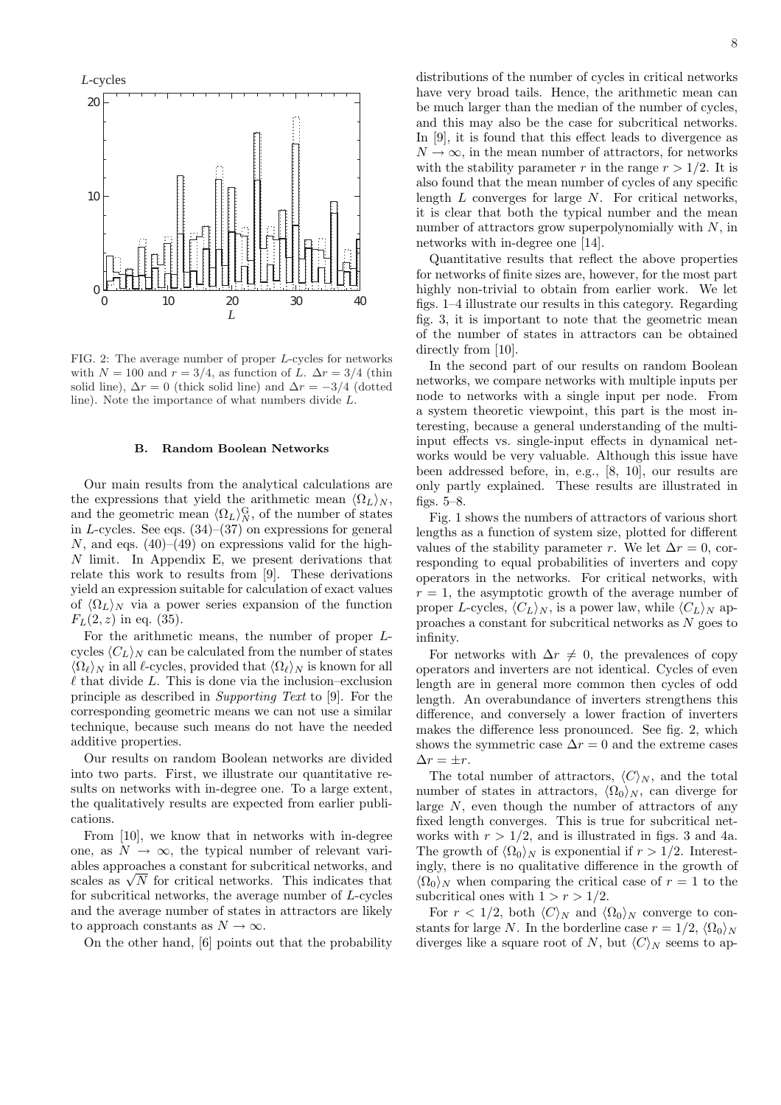*L*-cycles



FIG. 2: The average number of proper L-cycles for networks with  $N = 100$  and  $r = 3/4$ , as function of L.  $\Delta r = 3/4$  (thin solid line),  $\Delta r = 0$  (thick solid line) and  $\Delta r = -3/4$  (dotted line). Note the importance of what numbers divide L.

### B. Random Boolean Networks

Our main results from the analytical calculations are the expressions that yield the arithmetic mean  $\langle \Omega_L \rangle_N$ , and the geometric mean  $\langle \Omega_L \rangle_N^{\text{G}}$ , of the number of states in L-cycles. See eqs.  $(34)$ – $(37)$  on expressions for general N, and eqs.  $(40)$ – $(49)$  on expressions valid for the high-N limit. In Appendix E, we present derivations that relate this work to results from [9]. These derivations yield an expression suitable for calculation of exact values of  $\langle \Omega_L \rangle_N$  via a power series expansion of the function  $F_L(2, z)$  in eq. (35).

For the arithmetic means, the number of proper Lcycles  $\langle C_L \rangle_N$  can be calculated from the number of states  $\langle \Omega_\ell \rangle_N$  in all  $\ell$ -cycles, provided that  $\langle \Omega_\ell \rangle_N$  is known for all  $\ell$  that divide  $L.$  This is done via the inclusion–exclusion principle as described in Supporting Text to [9]. For the corresponding geometric means we can not use a similar technique, because such means do not have the needed additive properties.

Our results on random Boolean networks are divided into two parts. First, we illustrate our quantitative results on networks with in-degree one. To a large extent, the qualitatively results are expected from earlier publications.

From [10], we know that in networks with in-degree one, as  $N \to \infty$ , the typical number of relevant variables approaches a constant for subcritical networks, and ables approaches a constant for subcritical networks, and scales as  $\sqrt{N}$  for critical networks. This indicates that for subcritical networks, the average number of L-cycles and the average number of states in attractors are likely to approach constants as  $N \to \infty$ .

On the other hand, [6] points out that the probability

distributions of the number of cycles in critical networks have very broad tails. Hence, the arithmetic mean can be much larger than the median of the number of cycles, and this may also be the case for subcritical networks. In [9], it is found that this effect leads to divergence as  $N \to \infty$ , in the mean number of attractors, for networks with the stability parameter r in the range  $r > 1/2$ . It is also found that the mean number of cycles of any specific length  $L$  converges for large  $N$ . For critical networks, it is clear that both the typical number and the mean number of attractors grow superpolynomially with  $N$ , in networks with in-degree one [14].

Quantitative results that reflect the above properties for networks of finite sizes are, however, for the most part highly non-trivial to obtain from earlier work. We let figs. 1–4 illustrate our results in this category. Regarding fig. 3, it is important to note that the geometric mean of the number of states in attractors can be obtained directly from [10].

In the second part of our results on random Boolean networks, we compare networks with multiple inputs per node to networks with a single input per node. From a system theoretic viewpoint, this part is the most interesting, because a general understanding of the multiinput effects vs. single-input effects in dynamical networks would be very valuable. Although this issue have been addressed before, in, e.g., [8, 10], our results are only partly explained. These results are illustrated in figs. 5–8.

Fig. 1 shows the numbers of attractors of various short lengths as a function of system size, plotted for different values of the stability parameter r. We let  $\Delta r = 0$ , corresponding to equal probabilities of inverters and copy operators in the networks. For critical networks, with  $r = 1$ , the asymptotic growth of the average number of proper L-cycles,  $\langle C_L \rangle_N$ , is a power law, while  $\langle C_L \rangle_N$  approaches a constant for subcritical networks as N goes to infinity.

For networks with  $\Delta r \neq 0$ , the prevalences of copy operators and inverters are not identical. Cycles of even length are in general more common then cycles of odd length. An overabundance of inverters strengthens this difference, and conversely a lower fraction of inverters makes the difference less pronounced. See fig. 2, which shows the symmetric case  $\Delta r = 0$  and the extreme cases  $\Delta r = \pm r$ .

The total number of attractors,  $\langle C \rangle_N$ , and the total number of states in attractors,  $\langle \Omega_0 \rangle_N$ , can diverge for large N, even though the number of attractors of any fixed length converges. This is true for subcritical networks with  $r > 1/2$ , and is illustrated in figs. 3 and 4a. The growth of  $\langle \Omega_0 \rangle_N$  is exponential if  $r > 1/2$ . Interestingly, there is no qualitative difference in the growth of  $\langle \Omega_0 \rangle_N$  when comparing the critical case of  $r = 1$  to the subcritical ones with  $1 > r > 1/2$ .

For  $r < 1/2$ , both  $\langle C \rangle_N$  and  $\langle \Omega_0 \rangle_N$  converge to constants for large N. In the borderline case  $r = 1/2$ ,  $\langle \Omega_0 \rangle_N$ diverges like a square root of N, but  $\langle C \rangle_N$  seems to ap-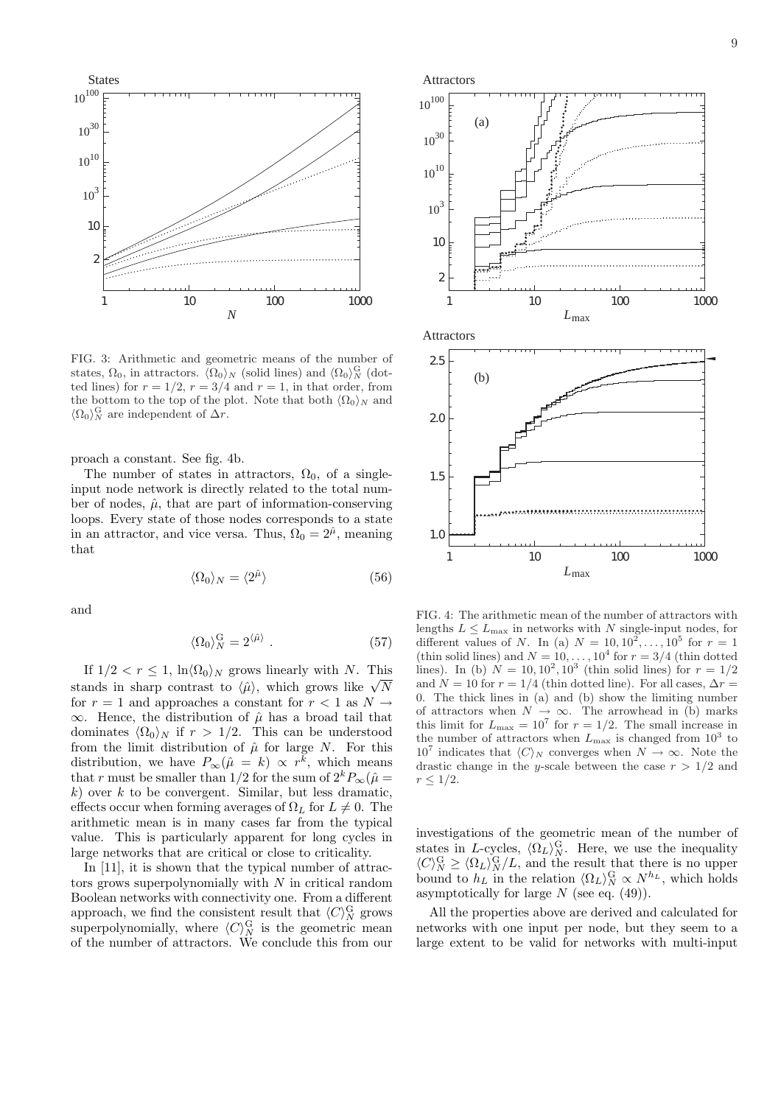

FIG. 3: Arithmetic and geometric means of the number of states,  $\Omega_0$ , in attractors.  $\langle \overline{\Omega}_0 \rangle_N$  (solid lines) and  $\langle \Omega_0 \rangle_N^{\text{G}}$  (dotted lines) for  $r = 1/2$ ,  $r = 3/4$  and  $r = 1$ , in that order, from the bottom to the top of the plot. Note that both  $\langle \Omega_0 \rangle_N$  and  $\langle \Omega_0 \rangle_N^{\text{G}}$  are independent of  $\Delta r$ .

proach a constant. See fig. 4b.

The number of states in attractors,  $\Omega_0$ , of a singleinput node network is directly related to the total number of nodes,  $\hat{\mu}$ , that are part of information-conserving loops. Every state of those nodes corresponds to a state in an attractor, and vice versa. Thus,  $\Omega_0 = 2^{\hat{\mu}}$ , meaning that

$$
\langle \Omega_0 \rangle_N = \langle 2^{\hat{\mu}} \rangle \tag{56}
$$

and

$$
\langle \Omega_0 \rangle_N^{\rm G} = 2^{\langle \hat{\mu} \rangle} \ . \tag{57}
$$

If  $1/2 < r \leq 1$ ,  $\ln \langle \Omega_0 \rangle_N$  grows linearly with N. This if  $1/2 < r \le 1$ ,  $\ln(\Omega_0)/N$  grows linearly with N. This stands in sharp contrast to  $\langle \hat{\mu} \rangle$ , which grows like  $\sqrt{N}$ for  $r = 1$  and approaches a constant for  $r < 1$  as  $N \rightarrow$  $\infty$ . Hence, the distribution of  $\hat{\mu}$  has a broad tail that dominates  $\langle \Omega_0 \rangle_N$  if  $r > 1/2$ . This can be understood from the limit distribution of  $\hat{\mu}$  for large N. For this distribution, we have  $P_{\infty}(\hat{\mu} = k) \propto r^{\bar{k}}$ , which means that r must be smaller than 1/2 for the sum of  $2^k P_\infty(\hat{\mu})$  $k$ ) over k to be convergent. Similar, but less dramatic, effects occur when forming averages of  $\Omega_L$  for  $L \neq 0$ . The arithmetic mean is in many cases far from the typical value. This is particularly apparent for long cycles in large networks that are critical or close to criticality.

In [11], it is shown that the typical number of attractors grows superpolynomially with  $N$  in critical random Boolean networks with connectivity one. From a different approach, we find the consistent result that  $\langle C \rangle_N^{\text{G}}$  grows superpolynomially, where  $\langle C \rangle_N^{\text{G}}$  is the geometric mean of the number of attractors. We conclude this from our



FIG. 4: The arithmetic mean of the number of attractors with lengths  $L \le L_{\text{max}}$  in networks with N single-input nodes, for different values of N. In (a)  $N = 10, 10^2, ..., 10^5$  for  $r = 1$ (thin solid lines) and  $N = 10, \ldots, 10^4$  for  $r = 3/4$  (thin dotted lines). In (b)  $N = 10, 10^2, 10^3$  (thin solid lines) for  $r = 1/2$ and  $N = 10$  for  $r = 1/4$  (thin dotted line). For all cases,  $\Delta r =$ 0. The thick lines in (a) and (b) show the limiting number of attractors when  $N \to \infty$ . The arrowhead in (b) marks this limit for  $L_{\text{max}} = 10^7$  for  $r = 1/2$ . The small increase in the number of attractors when  $L_{\text{max}}$  is changed from  $10^3$  to  $10^7$  indicates that  $\langle C \rangle_N$  converges when  $N \to \infty$ . Note the drastic change in the y-scale between the case  $r > 1/2$  and  $r \leq 1/2$ .

investigations of the geometric mean of the number of states in L-cycles,  $\langle \Omega_L \rangle_N^{\text{G}}$ . Here, we use the inequality  $\langle C \rangle_N^{\text{G}} \geq \langle \Omega_L \rangle_N^{\text{G}} / L$ , and the result that there is no upper bound to  $h_L$  in the relation  $\langle \Omega_L \rangle_N^{\text{G}} \propto N^{h_L}$ , which holds asymptotically for large  $N$  (see eq.  $(49)$ ).

All the properties above are derived and calculated for networks with one input per node, but they seem to a large extent to be valid for networks with multi-input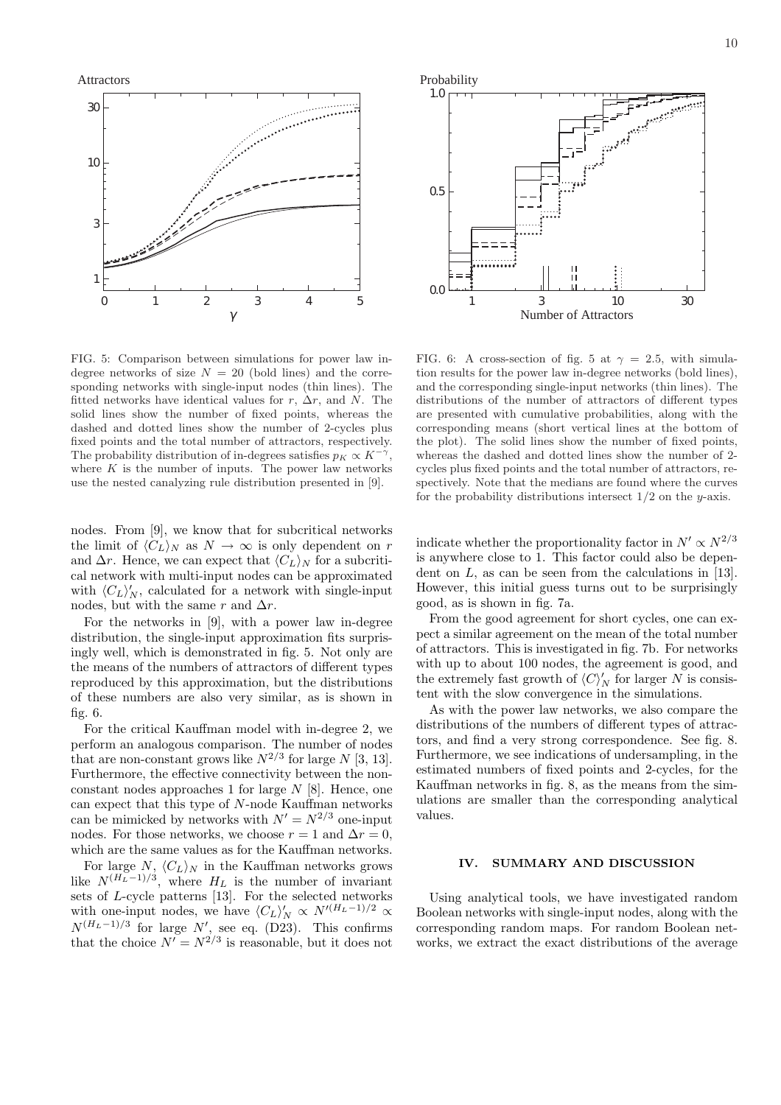Attractors



FIG. 5: Comparison between simulations for power law indegree networks of size  $N = 20$  (bold lines) and the corresponding networks with single-input nodes (thin lines). The fitted networks have identical values for r,  $\Delta r$ , and N. The solid lines show the number of fixed points, whereas the dashed and dotted lines show the number of 2-cycles plus fixed points and the total number of attractors, respectively. The probability distribution of in-degrees satisfies  $p_K \propto K^{-\gamma}$ , where  $K$  is the number of inputs. The power law networks use the nested canalyzing rule distribution presented in [9].

nodes. From [9], we know that for subcritical networks the limit of  $\langle C_L \rangle_N$  as  $N \to \infty$  is only dependent on r and  $\Delta r$ . Hence, we can expect that  $\langle C_L \rangle_N$  for a subcritical network with multi-input nodes can be approximated with  $\langle C_L \rangle_N'$ , calculated for a network with single-input nodes, but with the same r and  $\Delta r$ .

For the networks in [9], with a power law in-degree distribution, the single-input approximation fits surprisingly well, which is demonstrated in fig. 5. Not only are the means of the numbers of attractors of different types reproduced by this approximation, but the distributions of these numbers are also very similar, as is shown in fig. 6.

For the critical Kauffman model with in-degree 2, we perform an analogous comparison. The number of nodes that are non-constant grows like  $N^{2/3}$  for large N [3, 13]. Furthermore, the effective connectivity between the nonconstant nodes approaches 1 for large  $N$  [8]. Hence, one can expect that this type of N-node Kauffman networks can be mimicked by networks with  $N' = N^{2/3}$  one-input nodes. For those networks, we choose  $r = 1$  and  $\Delta r = 0$ , which are the same values as for the Kauffman networks.

For large  $N$ ,  $\langle C_L \rangle_N$  in the Kauffman networks grows like  $N^{(H_L-1)/3}$ , where  $H_L$  is the number of invariant sets of L-cycle patterns [13]. For the selected networks with one-input nodes, we have  $\langle C_L \rangle'_N \propto N'^{(H_L-1)/2} \propto$  $N^{(H_L-1)/3}$  for large N', see eq. (D23). This confirms that the choice  $N' = N^{2/3}$  is reasonable, but it does not



FIG. 6: A cross-section of fig. 5 at  $\gamma = 2.5$ , with simulation results for the power law in-degree networks (bold lines), and the corresponding single-input networks (thin lines). The distributions of the number of attractors of different types are presented with cumulative probabilities, along with the corresponding means (short vertical lines at the bottom of the plot). The solid lines show the number of fixed points, whereas the dashed and dotted lines show the number of 2 cycles plus fixed points and the total number of attractors, respectively. Note that the medians are found where the curves for the probability distributions intersect  $1/2$  on the y-axis.

indicate whether the proportionality factor in  $N' \propto N^{2/3}$ is anywhere close to 1. This factor could also be dependent on  $L$ , as can be seen from the calculations in [13]. However, this initial guess turns out to be surprisingly good, as is shown in fig. 7a.

From the good agreement for short cycles, one can expect a similar agreement on the mean of the total number of attractors. This is investigated in fig. 7b. For networks with up to about 100 nodes, the agreement is good, and the extremely fast growth of  $\langle C \rangle'_N$  for larger N is consistent with the slow convergence in the simulations.

As with the power law networks, we also compare the distributions of the numbers of different types of attractors, and find a very strong correspondence. See fig. 8. Furthermore, we see indications of undersampling, in the estimated numbers of fixed points and 2-cycles, for the Kauffman networks in fig. 8, as the means from the simulations are smaller than the corresponding analytical values.

#### IV. SUMMARY AND DISCUSSION

Using analytical tools, we have investigated random Boolean networks with single-input nodes, along with the corresponding random maps. For random Boolean networks, we extract the exact distributions of the average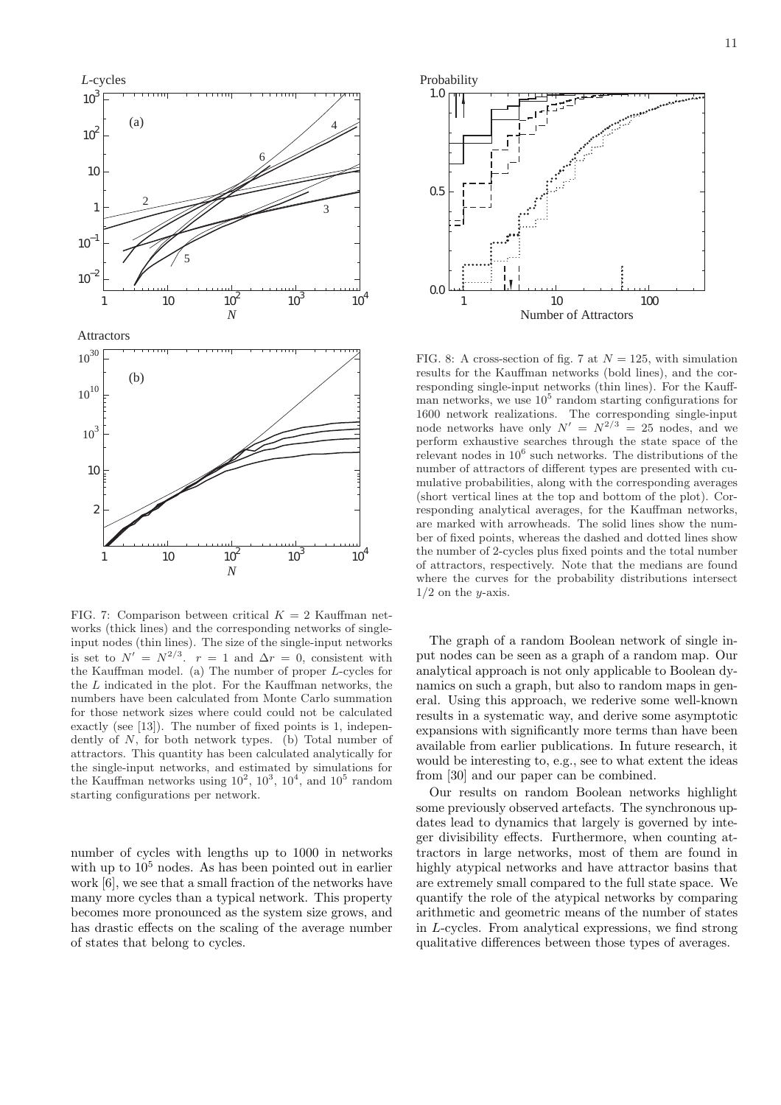

FIG. 7: Comparison between critical  $K = 2$  Kauffman networks (thick lines) and the corresponding networks of singleinput nodes (thin lines). The size of the single-input networks is set to  $N' = N^{2/3}$ .  $r = 1$  and  $\Delta r = 0$ , consistent with the Kauffman model. (a) The number of proper L-cycles for the L indicated in the plot. For the Kauffman networks, the numbers have been calculated from Monte Carlo summation for those network sizes where could could not be calculated exactly (see [13]). The number of fixed points is 1, independently of N, for both network types. (b) Total number of attractors. This quantity has been calculated analytically for the single-input networks, and estimated by simulations for the Kauffman networks using  $10^2$ ,  $10^3$ ,  $10^4$ , and  $10^5$  random starting configurations per network.

number of cycles with lengths up to 1000 in networks with up to  $10<sup>5</sup>$  nodes. As has been pointed out in earlier work [6], we see that a small fraction of the networks have many more cycles than a typical network. This property becomes more pronounced as the system size grows, and has drastic effects on the scaling of the average number of states that belong to cycles.



FIG. 8: A cross-section of fig. 7 at  $N = 125$ , with simulation results for the Kauffman networks (bold lines), and the corresponding single-input networks (thin lines). For the Kauffman networks, we use  $10^5$  random starting configurations for 1600 network realizations. The corresponding single-input node networks have only  $N' = N^{2/3} = 25$  nodes, and we perform exhaustive searches through the state space of the relevant nodes in  $10^6$  such networks. The distributions of the number of attractors of different types are presented with cumulative probabilities, along with the corresponding averages (short vertical lines at the top and bottom of the plot). Corresponding analytical averages, for the Kauffman networks, are marked with arrowheads. The solid lines show the number of fixed points, whereas the dashed and dotted lines show the number of 2-cycles plus fixed points and the total number of attractors, respectively. Note that the medians are found where the curves for the probability distributions intersect  $1/2$  on the y-axis.

The graph of a random Boolean network of single input nodes can be seen as a graph of a random map. Our analytical approach is not only applicable to Boolean dynamics on such a graph, but also to random maps in general. Using this approach, we rederive some well-known results in a systematic way, and derive some asymptotic expansions with significantly more terms than have been available from earlier publications. In future research, it would be interesting to, e.g., see to what extent the ideas from [30] and our paper can be combined.

Our results on random Boolean networks highlight some previously observed artefacts. The synchronous updates lead to dynamics that largely is governed by integer divisibility effects. Furthermore, when counting attractors in large networks, most of them are found in highly atypical networks and have attractor basins that are extremely small compared to the full state space. We quantify the role of the atypical networks by comparing arithmetic and geometric means of the number of states in L-cycles. From analytical expressions, we find strong qualitative differences between those types of averages.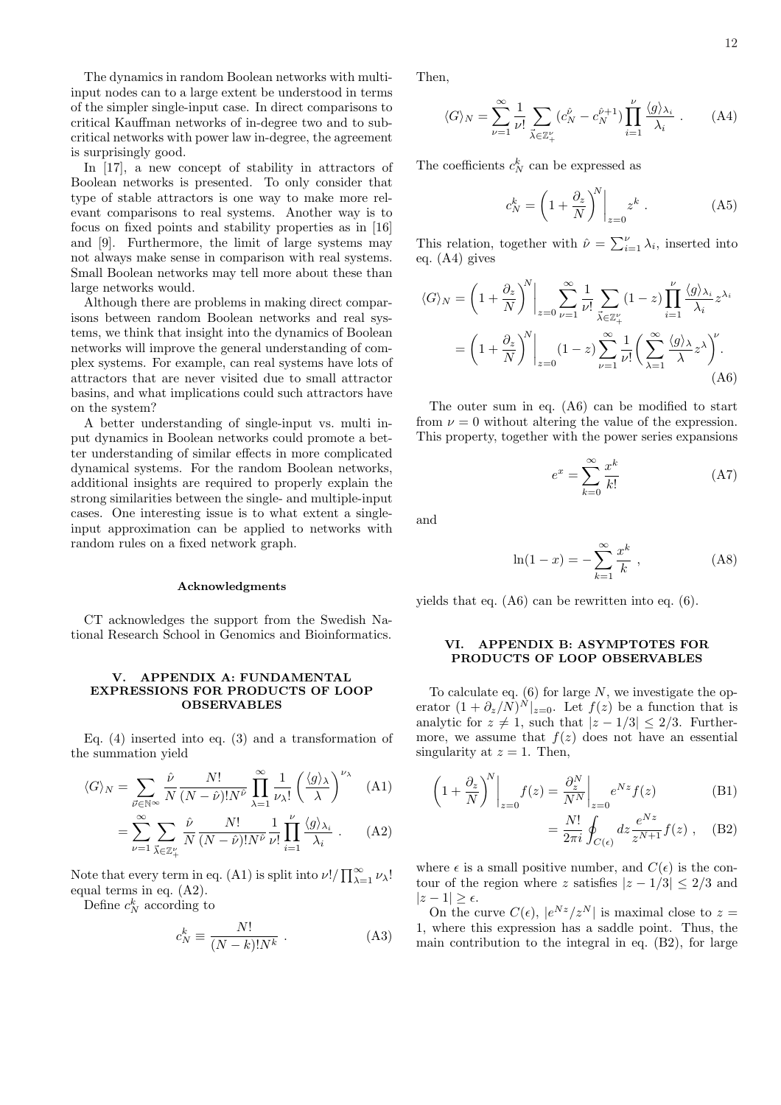The dynamics in random Boolean networks with multiinput nodes can to a large extent be understood in terms of the simpler single-input case. In direct comparisons to critical Kauffman networks of in-degree two and to subcritical networks with power law in-degree, the agreement is surprisingly good.

In [17], a new concept of stability in attractors of Boolean networks is presented. To only consider that type of stable attractors is one way to make more relevant comparisons to real systems. Another way is to focus on fixed points and stability properties as in [16] and [9]. Furthermore, the limit of large systems may not always make sense in comparison with real systems. Small Boolean networks may tell more about these than large networks would.

Although there are problems in making direct comparisons between random Boolean networks and real systems, we think that insight into the dynamics of Boolean networks will improve the general understanding of complex systems. For example, can real systems have lots of attractors that are never visited due to small attractor basins, and what implications could such attractors have on the system?

A better understanding of single-input vs. multi input dynamics in Boolean networks could promote a better understanding of similar effects in more complicated dynamical systems. For the random Boolean networks, additional insights are required to properly explain the strong similarities between the single- and multiple-input cases. One interesting issue is to what extent a singleinput approximation can be applied to networks with random rules on a fixed network graph.

### Acknowledgments

CT acknowledges the support from the Swedish National Research School in Genomics and Bioinformatics.

### V. APPENDIX A: FUNDAMENTAL EXPRESSIONS FOR PRODUCTS OF LOOP OBSERVABLES

Eq. (4) inserted into eq. (3) and a transformation of the summation yield

$$
\langle G \rangle_N = \sum_{\vec{\nu} \in \mathbb{N}^\infty} \frac{\hat{\nu}}{N} \frac{N!}{(N - \hat{\nu})! N^{\hat{\nu}}} \prod_{\lambda=1}^\infty \frac{1}{\nu_\lambda!} \left( \frac{\langle g \rangle_\lambda}{\lambda} \right)^{\nu_\lambda} \quad (A1)
$$

$$
= \sum_{\nu=1}^{\infty} \sum_{\vec{\lambda} \in \mathbb{Z}_+^{\nu}} \frac{\hat{\nu}}{N} \frac{N!}{(N-\hat{\nu})! N^{\hat{\nu}}} \frac{1}{\nu!} \prod_{i=1}^{\nu} \frac{\langle g \rangle_{\lambda_i}}{\lambda_i} . \tag{A2}
$$

Note that every term in eq. (A1) is split into  $\nu!/\prod_{\lambda=1}^{\infty} \nu_{\lambda}!$ equal terms in eq. (A2).

Define  $c_N^k$  according to

$$
c_N^k \equiv \frac{N!}{(N-k)!N^k} \ . \tag{A3}
$$

Then,

$$
\langle G \rangle_N = \sum_{\nu=1}^{\infty} \frac{1}{\nu!} \sum_{\vec{\lambda} \in \mathbb{Z}_+^{\nu}} (c_N^{\hat{\nu}} - c_N^{\hat{\nu}+1}) \prod_{i=1}^{\nu} \frac{\langle g \rangle_{\lambda_i}}{\lambda_i} . \tag{A4}
$$

The coefficients  $c_N^k$  can be expressed as

$$
c_N^k = \left(1 + \frac{\partial_z}{N}\right)^N \bigg|_{z=0} z^k . \tag{A5}
$$

This relation, together with  $\hat{\nu} = \sum_{i=1}^{\nu} \lambda_i$ , inserted into eq. (A4) gives

$$
\langle G \rangle_N = \left( 1 + \frac{\partial_z}{N} \right)^N \Big|_{z=0} \sum_{\nu=1}^{\infty} \frac{1}{\nu!} \sum_{\vec{\lambda} \in \mathbb{Z}_+^{\nu}} (1-z) \prod_{i=1}^{\nu} \frac{\langle g \rangle_{\lambda_i}}{\lambda_i} z^{\lambda_i}
$$

$$
= \left( 1 + \frac{\partial_z}{N} \right)^N \Big|_{z=0} (1-z) \sum_{\nu=1}^{\infty} \frac{1}{\nu!} \left( \sum_{\lambda=1}^{\infty} \frac{\langle g \rangle_{\lambda_i}}{\lambda} z^{\lambda} \right)^{\nu} . \tag{A6}
$$

The outer sum in eq. (A6) can be modified to start from  $\nu = 0$  without altering the value of the expression. This property, together with the power series expansions

$$
e^x = \sum_{k=0}^{\infty} \frac{x^k}{k!}
$$
 (A7)

and

$$
\ln(1 - x) = -\sum_{k=1}^{\infty} \frac{x^k}{k},
$$
 (A8)

yields that eq. (A6) can be rewritten into eq. (6).

### VI. APPENDIX B: ASYMPTOTES FOR PRODUCTS OF LOOP OBSERVABLES

To calculate eq.  $(6)$  for large N, we investigate the operator  $(1 + \partial_z/N)^N|_{z=0}$ . Let  $f(z)$  be a function that is analytic for  $z \neq 1$ , such that  $|z - 1/3| \leq 2/3$ . Furthermore, we assume that  $f(z)$  does not have an essential singularity at  $z = 1$ . Then,

$$
\left(1 + \frac{\partial_z}{N}\right)^N \bigg|_{z=0} f(z) = \frac{\partial_z^N}{N^N} \bigg|_{z=0} e^{Nz} f(z) \tag{B1}
$$

$$
= \frac{N!}{2\pi i} \oint_{C(\epsilon)} dz \frac{e^{Nz}}{z^{N+1}} f(z) , \quad (B2)
$$

where  $\epsilon$  is a small positive number, and  $C(\epsilon)$  is the contour of the region where z satisfies  $|z - 1/3| \leq 2/3$  and  $|z-1| > \epsilon$ .

On the curve  $C(\epsilon)$ ,  $|e^{Nz}/z^N|$  is maximal close to  $z=$ 1, where this expression has a saddle point. Thus, the main contribution to the integral in eq. (B2), for large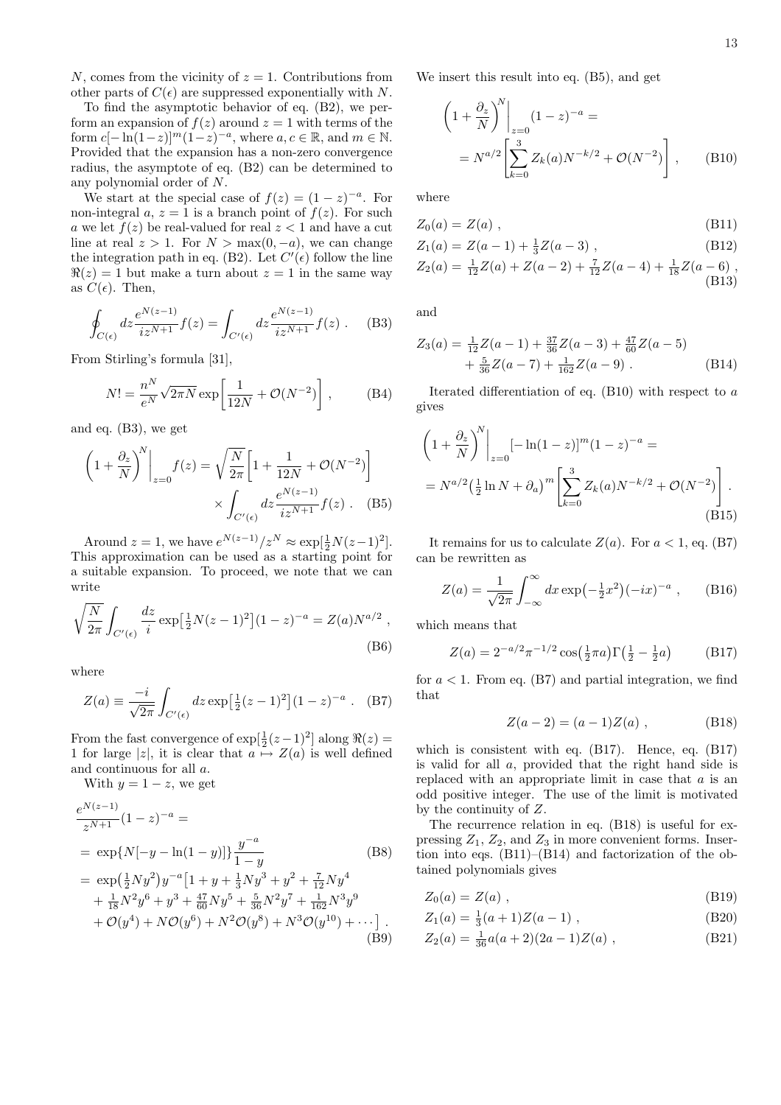N, comes from the vicinity of  $z = 1$ . Contributions from other parts of  $C(\epsilon)$  are suppressed exponentially with N.

To find the asymptotic behavior of eq. (B2), we perform an expansion of  $f(z)$  around  $z = 1$  with terms of the form  $c[-\ln(1-z)]^m(1-z)^{-a}$ , where  $a, c \in \mathbb{R}$ , and  $m \in \mathbb{N}$ . Provided that the expansion has a non-zero convergence radius, the asymptote of eq. (B2) can be determined to any polynomial order of N.

We start at the special case of  $f(z) = (1-z)^{-a}$ . For non-integral a,  $z = 1$  is a branch point of  $f(z)$ . For such a we let  $f(z)$  be real-valued for real  $z < 1$  and have a cut line at real  $z > 1$ . For  $N > \max(0, -a)$ , we can change the integration path in eq. (B2). Let  $C'(\epsilon)$  follow the line  $\Re(z) = 1$  but make a turn about  $z = 1$  in the same way as  $C(\epsilon)$ . Then,

$$
\oint_{C(\epsilon)} dz \frac{e^{N(z-1)}}{iz^{N+1}} f(z) = \int_{C'(\epsilon)} dz \frac{e^{N(z-1)}}{iz^{N+1}} f(z) .
$$
 (B3)

From Stirling's formula [31],

$$
N! = \frac{n^N}{e^N} \sqrt{2\pi N} \exp\left[\frac{1}{12N} + \mathcal{O}(N^{-2})\right],
$$
 (B4)

and eq. (B3), we get

$$
\left(1 + \frac{\partial_z}{N}\right)^N \bigg|_{z=0} f(z) = \sqrt{\frac{N}{2\pi}} \left[1 + \frac{1}{12N} + \mathcal{O}(N^{-2})\right]
$$

$$
\times \int_{C'(\epsilon)} dz \frac{e^{N(z-1)}}{iz^{N+1}} f(z) \quad (B5)
$$

Around  $z = 1$ , we have  $e^{N(z-1)}/z^N \approx \exp[\frac{1}{2}N(z-1)^2]$ . This approximation can be used as a starting point for a suitable expansion. To proceed, we note that we can write

$$
\sqrt{\frac{N}{2\pi}} \int_{C'(\epsilon)} \frac{dz}{i} \exp\left[\frac{1}{2}N(z-1)^2\right] (1-z)^{-a} = Z(a)N^{a/2} ,
$$
\n(B6)

where

$$
Z(a) \equiv \frac{-i}{\sqrt{2\pi}} \int_{C'(\epsilon)} dz \exp\left[\frac{1}{2}(z-1)^2\right] (1-z)^{-a} . \quad (B7)
$$

From the fast convergence of  $\exp[\frac{1}{2}(z-1)^2]$  along  $\Re(z)$  = 1 for large |z|, it is clear that  $a \mapsto Z(a)$  is well defined and continuous for all a.

With  $y = 1 - z$ , we get

$$
\begin{split}\n\frac{e^{N(z-1)}}{z^{N+1}}(1-z)^{-a} &= \\
&= \exp\{N[-y-\ln(1-y)]\} \frac{y^{-a}}{1-y} \qquad (B8) \\
&= \exp\left(\frac{1}{2}Ny^2\right)y^{-a}\left[1+y+\frac{1}{3}Ny^3+y^2+\frac{7}{12}Ny^4 + \frac{1}{18}N^2y^6+y^3+\frac{47}{60}Ny^5+\frac{5}{36}N^2y^7+\frac{1}{162}N^3y^9 + \mathcal{O}(y^4) + N\mathcal{O}(y^6) + N^2\mathcal{O}(y^8) + N^3\mathcal{O}(y^{10}) + \cdots \right].\n\end{split}
$$
\n(B9)

We insert this result into eq. (B5), and get

$$
\left(1 + \frac{\partial_z}{N}\right)^N \Big|_{z=0} (1 - z)^{-a} =
$$
  
=  $N^{a/2} \left[\sum_{k=0}^3 Z_k(a) N^{-k/2} + \mathcal{O}(N^{-2})\right],$  (B10)

where

$$
Z_0(a) = Z(a) \tag{B11}
$$

$$
Z_1(a) = Z(a-1) + \frac{1}{3}Z(a-3),
$$
\n
$$
Z_2(a) = \frac{1}{12}Z(a) + Z(a-2) + \frac{7}{12}Z(a-4) + \frac{1}{18}Z(a-6),
$$
\n(B12)

$$
Z_2(a) = \frac{1}{12}Z(a) + Z(a-2) + \frac{7}{12}Z(a-4) + \frac{1}{18}Z(a-6)
$$
\n(B13)

and

$$
Z_3(a) = \frac{1}{12}Z(a-1) + \frac{37}{36}Z(a-3) + \frac{47}{60}Z(a-5) + \frac{5}{36}Z(a-7) + \frac{1}{162}Z(a-9)
$$
 (B14)

Iterated differentiation of eq.  $(B10)$  with respect to  $a$ gives

$$
\left(1 + \frac{\partial_z}{N}\right)^N \Big|_{z=0} [-\ln(1-z)]^m (1-z)^{-a} =
$$
  
=  $N^{a/2} \left(\frac{1}{2} \ln N + \partial_a\right)^m \left[\sum_{k=0}^3 Z_k(a) N^{-k/2} + \mathcal{O}(N^{-2})\right].$  (B15)

It remains for us to calculate  $Z(a)$ . For  $a < 1$ , eq. (B7) can be rewritten as

$$
Z(a) = \frac{1}{\sqrt{2\pi}} \int_{-\infty}^{\infty} dx \exp(-\frac{1}{2}x^2)(-ix)^{-a} , \quad (B16)
$$

which means that

$$
Z(a) = 2^{-a/2} \pi^{-1/2} \cos(\frac{1}{2}\pi a) \Gamma(\frac{1}{2} - \frac{1}{2}a)
$$
 (B17)

for  $a < 1$ . From eq. (B7) and partial integration, we find that

$$
Z(a-2) = (a-1)Z(a) , \t\t (B18)
$$

which is consistent with eq. (B17). Hence, eq. (B17) is valid for all a, provided that the right hand side is replaced with an appropriate limit in case that  $a$  is an odd positive integer. The use of the limit is motivated by the continuity of Z.

The recurrence relation in eq. (B18) is useful for expressing  $Z_1$ ,  $Z_2$ , and  $Z_3$  in more convenient forms. Insertion into eqs. (B11)–(B14) and factorization of the obtained polynomials gives

$$
Z_0(a) = Z(a) , \qquad (B19)
$$

$$
Z_1(a) = \frac{1}{3}(a+1)Z(a-1) , \qquad (B20)
$$

$$
Z_2(a) = \frac{1}{36}a(a+2)(2a-1)Z(a) , \qquad (B21)
$$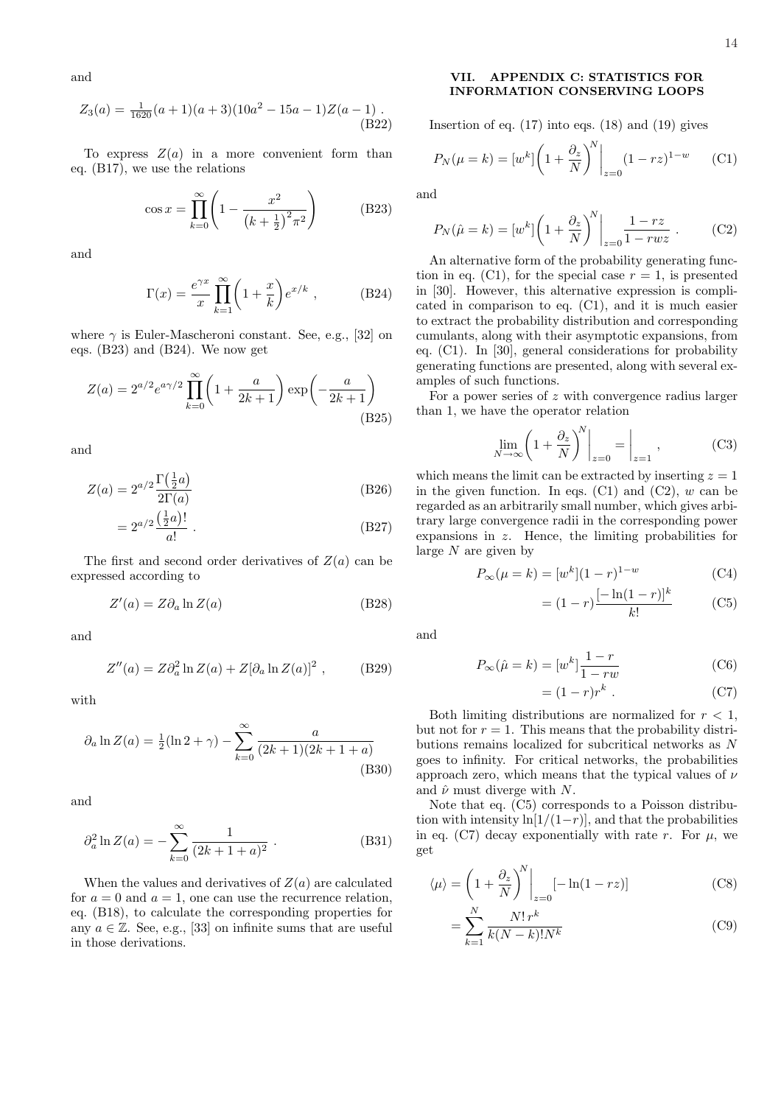and

$$
Z_3(a) = \frac{1}{1620}(a+1)(a+3)(10a^2 - 15a - 1)Z(a-1).
$$
\n(B22)

To express  $Z(a)$  in a more convenient form than eq. (B17), we use the relations

$$
\cos x = \prod_{k=0}^{\infty} \left( 1 - \frac{x^2}{\left(k + \frac{1}{2}\right)^2 \pi^2} \right) \tag{B23}
$$

and

$$
\Gamma(x) = \frac{e^{\gamma x}}{x} \prod_{k=1}^{\infty} \left( 1 + \frac{x}{k} \right) e^{x/k} , \qquad (B24)
$$

where  $\gamma$  is Euler-Mascheroni constant. See, e.g., [32] on eqs. (B23) and (B24). We now get

$$
Z(a) = 2^{a/2} e^{a\gamma/2} \prod_{k=0}^{\infty} \left( 1 + \frac{a}{2k+1} \right) \exp\left(-\frac{a}{2k+1}\right)
$$
\n(B25)

and

$$
Z(a) = 2^{a/2} \frac{\Gamma(\frac{1}{2}a)}{2\Gamma(a)}
$$
(B26)

$$
=2^{a/2}\frac{\left(\frac{1}{2}a\right)!}{a!} \ . \tag{B27}
$$

The first and second order derivatives of  $Z(a)$  can be expressed according to

$$
Z'(a) = Z \partial_a \ln Z(a) \tag{B28}
$$

and

$$
Z''(a) = Z\partial_a^2 \ln Z(a) + Z[\partial_a \ln Z(a)]^2 , \qquad (B29)
$$

with

$$
\partial_a \ln Z(a) = \frac{1}{2} (\ln 2 + \gamma) - \sum_{k=0}^{\infty} \frac{a}{(2k+1)(2k+1+a)}
$$
(B30)

and

$$
\partial_a^2 \ln Z(a) = -\sum_{k=0}^{\infty} \frac{1}{(2k+1+a)^2} . \tag{B31}
$$

When the values and derivatives of  $Z(a)$  are calculated for  $a = 0$  and  $a = 1$ , one can use the recurrence relation, eq. (B18), to calculate the corresponding properties for any  $a \in \mathbb{Z}$ . See, e.g., [33] on infinite sums that are useful in those derivations.

# VII. APPENDIX C: STATISTICS FOR INFORMATION CONSERVING LOOPS

Insertion of eq.  $(17)$  into eqs.  $(18)$  and  $(19)$  gives

$$
P_N(\mu = k) = [w^k] \left( 1 + \frac{\partial_z}{N} \right)^N \Big|_{z=0} (1 - rz)^{1-w} \tag{C1}
$$

and

$$
P_N(\hat{\mu} = k) = [w^k] \left( 1 + \frac{\partial_z}{N} \right)^N \bigg|_{z=0} \frac{1 - rz}{1 - rwz} . \tag{C2}
$$

An alternative form of the probability generating function in eq. (C1), for the special case  $r = 1$ , is presented in [30]. However, this alternative expression is complicated in comparison to eq. (C1), and it is much easier to extract the probability distribution and corresponding cumulants, along with their asymptotic expansions, from eq. (C1). In [30], general considerations for probability generating functions are presented, along with several examples of such functions.

For a power series of z with convergence radius larger than 1, we have the operator relation

$$
\lim_{N \to \infty} \left( 1 + \frac{\partial_z}{N} \right)^N \bigg|_{z=0} = \bigg|_{z=1} , \tag{C3}
$$

which means the limit can be extracted by inserting  $z = 1$ in the given function. In eqs.  $(C1)$  and  $(C2)$ , w can be regarded as an arbitrarily small number, which gives arbitrary large convergence radii in the corresponding power expansions in z. Hence, the limiting probabilities for large  $N$  are given by

$$
P_{\infty}(\mu = k) = [w^k](1 - r)^{1 - w}
$$
 (C4)

$$
= (1 - r) \frac{[-\ln(1 - r)]^k}{k!} \tag{C5}
$$

and

$$
P_{\infty}(\hat{\mu} = k) = [w^k] \frac{1 - r}{1 - rw}
$$
 (C6)

$$
= (1 - r)r^k . \t\t(C7)
$$

Both limiting distributions are normalized for  $r < 1$ , but not for  $r = 1$ . This means that the probability distributions remains localized for subcritical networks as N goes to infinity. For critical networks, the probabilities approach zero, which means that the typical values of  $\nu$ and  $\hat{\nu}$  must diverge with N.

Note that eq. (C5) corresponds to a Poisson distribution with intensity  $\ln(1/(1-r))$ , and that the probabilities in eq. (C7) decay exponentially with rate r. For  $\mu$ , we get

$$
\langle \mu \rangle = \left(1 + \frac{\partial_z}{N}\right)^N \bigg|_{z=0} \left[-\ln(1 - rz)\right] \tag{C8}
$$

$$
= \sum_{k=1}^{N} \frac{N! \, r^k}{k(N-k)! N^k} \tag{C9}
$$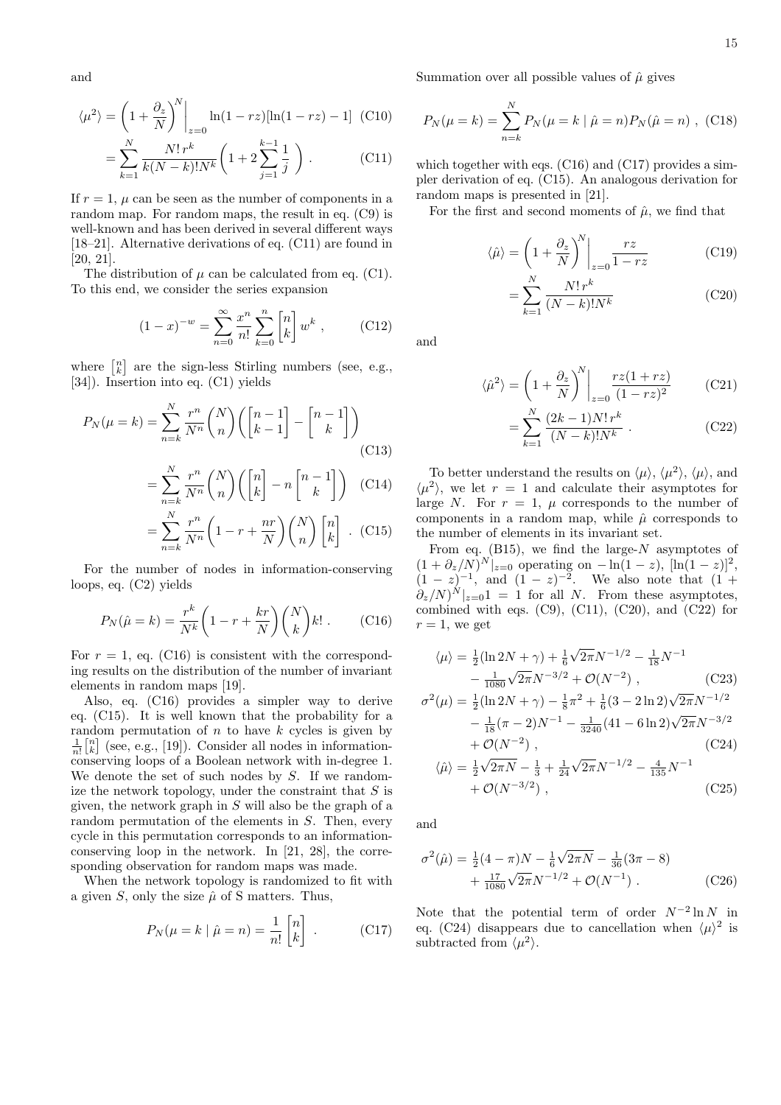and

$$
\langle \mu^2 \rangle = \left(1 + \frac{\partial_z}{N}\right)^N \Big|_{z=0} \ln(1 - rz) [\ln(1 - rz) - 1] \tag{C10}
$$

$$
= \sum_{k=1}^N \frac{N! \, r^k}{k(N-k)! N^k} \left(1 + 2 \sum_{j=1}^{k-1} \frac{1}{j}\right) \tag{C11}
$$

If  $r = 1$ ,  $\mu$  can be seen as the number of components in a random map. For random maps, the result in eq. (C9) is well-known and has been derived in several different ways [18–21]. Alternative derivations of eq. (C11) are found in [20, 21].

The distribution of  $\mu$  can be calculated from eq. (C1). To this end, we consider the series expansion

$$
(1-x)^{-w} = \sum_{n=0}^{\infty} \frac{x^n}{n!} \sum_{k=0}^n \begin{bmatrix} n \\ k \end{bmatrix} w^k , \qquad \text{(C12)}
$$

where  $\begin{bmatrix} n \\ k \end{bmatrix}$ ¤ are the sign-less Stirling numbers (see, e.g., [34]). Insertion into eq. (C1) yields

$$
P_N(\mu = k) = \sum_{n=k}^N \frac{r^n}{N^n} \binom{N}{n} \left( \binom{n-1}{k-1} - \binom{n-1}{k} \right)
$$
(C13)

$$
= \sum_{n=k}^{N} \frac{r^n}{N^n} {N \choose n} \left( {n \brack k} - n {n-1 \brack k} \right) \quad (C14)
$$

$$
= \sum_{n=k}^{N} \frac{r^n}{N^n} \left(1 - r + \frac{nr}{N}\right) \binom{N}{n} \begin{bmatrix} n \\ k \end{bmatrix} .
$$
 (C15)

For the number of nodes in information-conserving loops, eq. (C2) yields

$$
P_N(\hat{\mu} = k) = \frac{r^k}{N^k} \left( 1 - r + \frac{kr}{N} \right) \binom{N}{k} k! . \tag{C16}
$$

For  $r = 1$ , eq. (C16) is consistent with the corresponding results on the distribution of the number of invariant elements in random maps [19].

Also, eq. (C16) provides a simpler way to derive eq. (C15). It is well known that the probability for a random permutation of *n* to have *k* cycles is given by  $\frac{1}{n!}$  [ $_{n}^{n}$ ] (see, e.g., [19]). Consider all nodes in informationconserving loops of a Boolean network with in-degree 1. We denote the set of such nodes by S. If we randomize the network topology, under the constraint that  $S$  is given, the network graph in S will also be the graph of a random permutation of the elements in S. Then, every cycle in this permutation corresponds to an informationconserving loop in the network. In [21, 28], the corresponding observation for random maps was made.

When the network topology is randomized to fit with a given  $S$ , only the size  $\hat{\mu}$  of S matters. Thus,

$$
P_N(\mu = k \mid \hat{\mu} = n) = \frac{1}{n!} \begin{bmatrix} n \\ k \end{bmatrix} .
$$
 (C17)

Summation over all possible values of  $\hat{\mu}$  gives

$$
P_N(\mu = k) = \sum_{n=k}^{N} P_N(\mu = k \mid \hat{\mu} = n) P_N(\hat{\mu} = n) , \text{ (C18)}
$$

which together with eqs. (C16) and (C17) provides a simpler derivation of eq. (C15). An analogous derivation for random maps is presented in [21].

For the first and second moments of  $\hat{\mu}$ , we find that

$$
\langle \hat{\mu} \rangle = \left( 1 + \frac{\partial_z}{N} \right)^N \Big|_{z=0} \frac{rz}{1 - rz} \tag{C19}
$$

$$
= \sum_{k=1}^{N} \frac{N! \, r^k}{(N-k)! N^k} \tag{C20}
$$

and

$$
\langle \hat{\mu}^2 \rangle = \left(1 + \frac{\partial_z}{N}\right)^N \bigg|_{z=0} \frac{rz(1+rz)}{(1-rz)^2} \tag{C21}
$$

$$
= \sum_{k=1}^{N} \frac{(2k-1)N! \, r^k}{(N-k)! N^k} \,. \tag{C22}
$$

To better understand the results on  $\langle \mu \rangle$ ,  $\langle \mu^2 \rangle$ ,  $\langle \mu \rangle$ , and  $\langle \mu^2 \rangle$ , we let  $r = 1$  and calculate their asymptotes for large N. For  $r = 1$ ,  $\mu$  corresponds to the number of components in a random map, while  $\hat{\mu}$  corresponds to the number of elements in its invariant set.

From eq.  $(B15)$ , we find the large-N asymptotes of  $(1 + \partial_z/N)^N|_{z=0}$  operating on  $-\ln(1-z)$ ,  $[\ln(1-z)]^2$ ,  $(1-z)^{-1}$ , and  $(1-z)^{-2}$ . We also note that  $(1+z)^{-1}$  $\partial_z/N)^N|_{z=0}1 = 1$  for all N. From these asymptotes, combined with eqs.  $(C9)$ ,  $(C11)$ ,  $(C20)$ , and  $(C22)$  for  $r = 1$ , we get

$$
\langle \mu \rangle = \frac{1}{2} (\ln 2N + \gamma) + \frac{1}{6} \sqrt{2\pi} N^{-1/2} - \frac{1}{18} N^{-1}
$$
  

$$
- \frac{1}{1080} \sqrt{2\pi} N^{-3/2} + \mathcal{O}(N^{-2}), \qquad (C23)
$$
  

$$
\sigma^2(\mu) = \frac{1}{2} (\ln 2N + \gamma) - \frac{1}{8} \pi^2 + \frac{1}{6} (3 - 2 \ln 2) \sqrt{2\pi} N^{-1/2}
$$

$$
\begin{aligned} \n\sigma(\mu) &= \frac{1}{2} (\ln 2N + \gamma) - \frac{1}{8} \pi + \frac{1}{6} (3 - 2 \ln 2) \sqrt{2\pi N} \\ \n&\quad - \frac{1}{18} (\pi - 2) N^{-1} - \frac{1}{3240} (41 - 6 \ln 2) \sqrt{2\pi} N^{-3/2} \\ \n&\quad + \mathcal{O}(N^{-2}) \,, \n\end{aligned} \tag{C24}
$$

$$
\langle \hat{\mu} \rangle = \frac{1}{2} \sqrt{2\pi N} - \frac{1}{3} + \frac{1}{24} \sqrt{2\pi} N^{-1/2} - \frac{4}{135} N^{-1} + \mathcal{O}(N^{-3/2}), \tag{C25}
$$

and

$$
\sigma^2(\hat{\mu}) = \frac{1}{2}(4-\pi)N - \frac{1}{6}\sqrt{2\pi N} - \frac{1}{36}(3\pi - 8) + \frac{17}{1080}\sqrt{2\pi}N^{-1/2} + \mathcal{O}(N^{-1}).
$$
 (C26)

Note that the potential term of order  $N^{-2} \ln N$  in eq. (C24) disappears due to cancellation when  $\langle \mu \rangle^2$  is subtracted from  $\langle \mu^2 \rangle$ .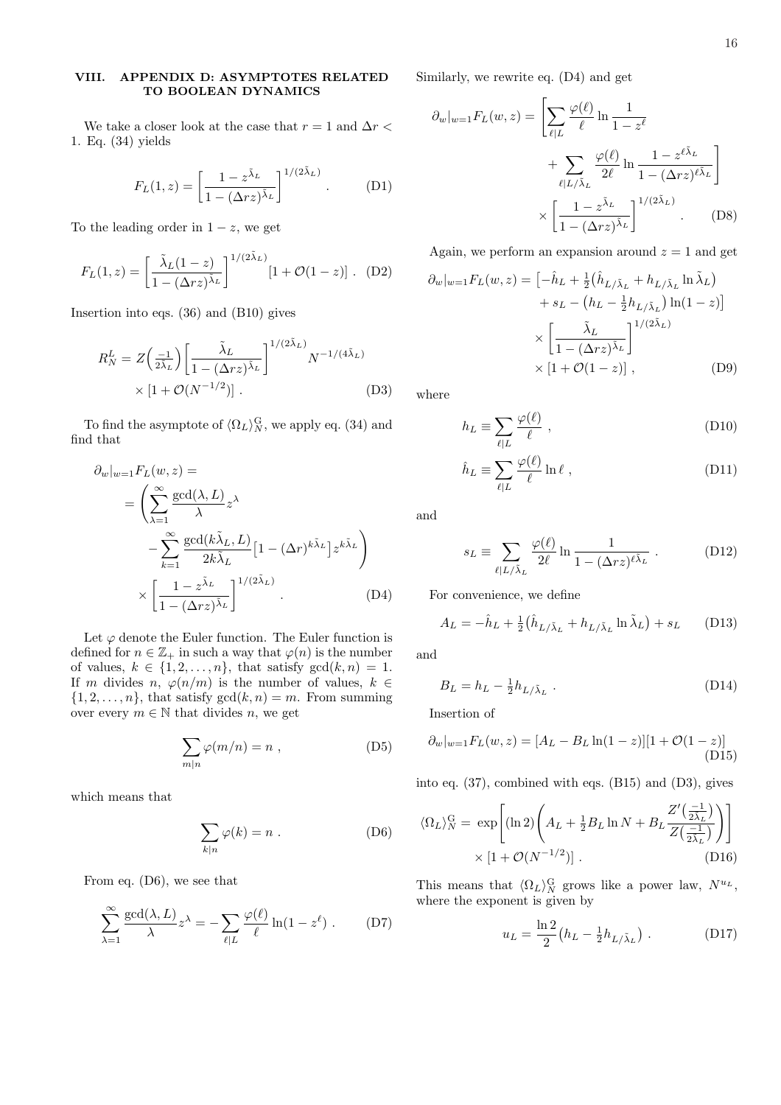# VIII. APPENDIX D: ASYMPTOTES RELATED TO BOOLEAN DYNAMICS

We take a closer look at the case that  $r=1$  and  $\Delta r<$ 1. Eq. (34) yields

$$
F_L(1, z) = \left[\frac{1 - z^{\tilde{\lambda}_L}}{1 - (\Delta rz)^{\tilde{\lambda}_L}}\right]^{1/(2\tilde{\lambda}_L)}.
$$
 (D1)

To the leading order in  $1 - z$ , we get

$$
F_L(1, z) = \left[\frac{\tilde{\lambda}_L(1-z)}{1 - (\Delta rz)^{\tilde{\lambda}_L}}\right]^{1/(2\tilde{\lambda}_L)} [1 + \mathcal{O}(1-z)] .
$$
 (D2)

Insertion into eqs. (36) and (B10) gives

$$
R_N^L = Z\left(\frac{-1}{2\tilde{\lambda}_L}\right) \left[\frac{\tilde{\lambda}_L}{1 - (\Delta rz)^{\tilde{\lambda}_L}}\right]^{1/(2\tilde{\lambda}_L)} N^{-1/(4\tilde{\lambda}_L)}
$$
  
 
$$
\times \left[1 + \mathcal{O}(N^{-1/2})\right].
$$
 (D3)

To find the asymptote of  $\langle \Omega_L \rangle_N^{\text{G}}$ , we apply eq. (34) and find that

$$
\partial_w|_{w=1} F_L(w, z) =
$$
\n
$$
= \left(\sum_{\lambda=1}^{\infty} \frac{\gcd(\lambda, L)}{\lambda} z^{\lambda} - \sum_{k=1}^{\infty} \frac{\gcd(k\tilde{\lambda}_L, L)}{2k\tilde{\lambda}_L} \left[1 - (\Delta r)^{k\tilde{\lambda}_L}\right] z^{k\tilde{\lambda}_L} \right)
$$
\n
$$
\times \left[\frac{1 - z^{\tilde{\lambda}_L}}{1 - (\Delta rz)^{\tilde{\lambda}_L}}\right]^{1/(2\tilde{\lambda}_L)} .
$$
\n(D4)

Let  $\varphi$  denote the Euler function. The Euler function is defined for  $n \in \mathbb{Z}_+$  in such a way that  $\varphi(n)$  is the number of values,  $k \in \{1, 2, ..., n\}$ , that satisfy  $gcd(k, n) = 1$ . If m divides n,  $\varphi(n/m)$  is the number of values,  $k \in$  $\{1, 2, \ldots, n\}$ , that satisfy  $gcd(k, n) = m$ . From summing over every  $m \in \mathbb{N}$  that divides n, we get

$$
\sum_{m|n} \varphi(m/n) = n , \qquad (D5)
$$

which means that

$$
\sum_{k|n} \varphi(k) = n .
$$
 (D6)

From eq. (D6), we see that

$$
\sum_{\lambda=1}^{\infty} \frac{\gcd(\lambda, L)}{\lambda} z^{\lambda} = -\sum_{\ell | L} \frac{\varphi(\ell)}{\ell} \ln(1 - z^{\ell}). \tag{D7}
$$

Similarly, we rewrite eq. (D4) and get

$$
\partial_w|_{w=1} F_L(w, z) = \left[ \sum_{\ell | L} \frac{\varphi(\ell)}{\ell} \ln \frac{1}{1 - z^{\ell}} + \sum_{\ell | L/\tilde{\lambda}_L} \frac{\varphi(\ell)}{2\ell} \ln \frac{1 - z^{\ell \tilde{\lambda}_L}}{1 - (\Delta rz)^{\ell \tilde{\lambda}_L}} \right] \times \left[ \frac{1 - z^{\tilde{\lambda}_L}}{1 - (\Delta rz)^{\tilde{\lambda}_L}} \right]^{1/(2\tilde{\lambda}_L)} .
$$
 (D8)

Again, we perform an expansion around  $z = 1$  and get

$$
\partial_w|_{w=1}F_L(w,z) = \left[-\hat{h}_L + \frac{1}{2}(\hat{h}_{L/\tilde{\lambda}_L} + h_{L/\tilde{\lambda}_L} \ln \tilde{\lambda}_L) + s_L - (h_L - \frac{1}{2}h_{L/\tilde{\lambda}_L}) \ln(1-z)\right]
$$

$$
\times \left[\frac{\tilde{\lambda}_L}{1 - (\Delta rz)^{\tilde{\lambda}_L}}\right]^{1/(2\tilde{\lambda}_L)}
$$

$$
\times \left[1 + \mathcal{O}(1-z)\right], \tag{D9}
$$

where

$$
h_L \equiv \sum_{\ell | L} \frac{\varphi(\ell)}{\ell} \;, \tag{D10}
$$

$$
\hat{h}_L \equiv \sum_{\ell|L} \frac{\varphi(\ell)}{\ell} \ln \ell \;, \tag{D11}
$$

and

$$
s_L \equiv \sum_{\ell | L/\tilde{\lambda}_L} \frac{\varphi(\ell)}{2\ell} \ln \frac{1}{1 - (\Delta rz)^{\ell \tilde{\lambda}_L}} .
$$
 (D12)

For convenience, we define

$$
A_L = -\hat{h}_L + \frac{1}{2} \left( \hat{h}_{L/\tilde{\lambda}_L} + h_{L/\tilde{\lambda}_L} \ln \tilde{\lambda}_L \right) + s_L \qquad (D13)
$$

and

$$
B_L = h_L - \frac{1}{2} h_{L/\tilde{\lambda}_L} \tag{D14}
$$

Insertion of

$$
\partial_w|_{w=1}F_L(w,z) = [A_L - B_L \ln(1-z)][1 + \mathcal{O}(1-z)]
$$
\n(D15)

into eq. (37), combined with eqs. (B15) and (D3), gives

$$
\langle \Omega_L \rangle_N^{\text{G}} = \exp\left[ (\ln 2) \left( A_L + \frac{1}{2} B_L \ln N + B_L \frac{Z'(\frac{-1}{2\tilde{\lambda}_L})}{Z(\frac{-1}{2\tilde{\lambda}_L})} \right) \right]
$$
  
 
$$
\times \left[ 1 + \mathcal{O}(N^{-1/2}) \right]. \tag{D16}
$$

This means that  $\langle \Omega_L \rangle_N^{\text{G}}$  grows like a power law,  $N^{u_L}$ , where the exponent is given by

$$
u_L = \frac{\ln 2}{2} (h_L - \frac{1}{2} h_{L/\tilde{\lambda}_L}) \ . \tag{D17}
$$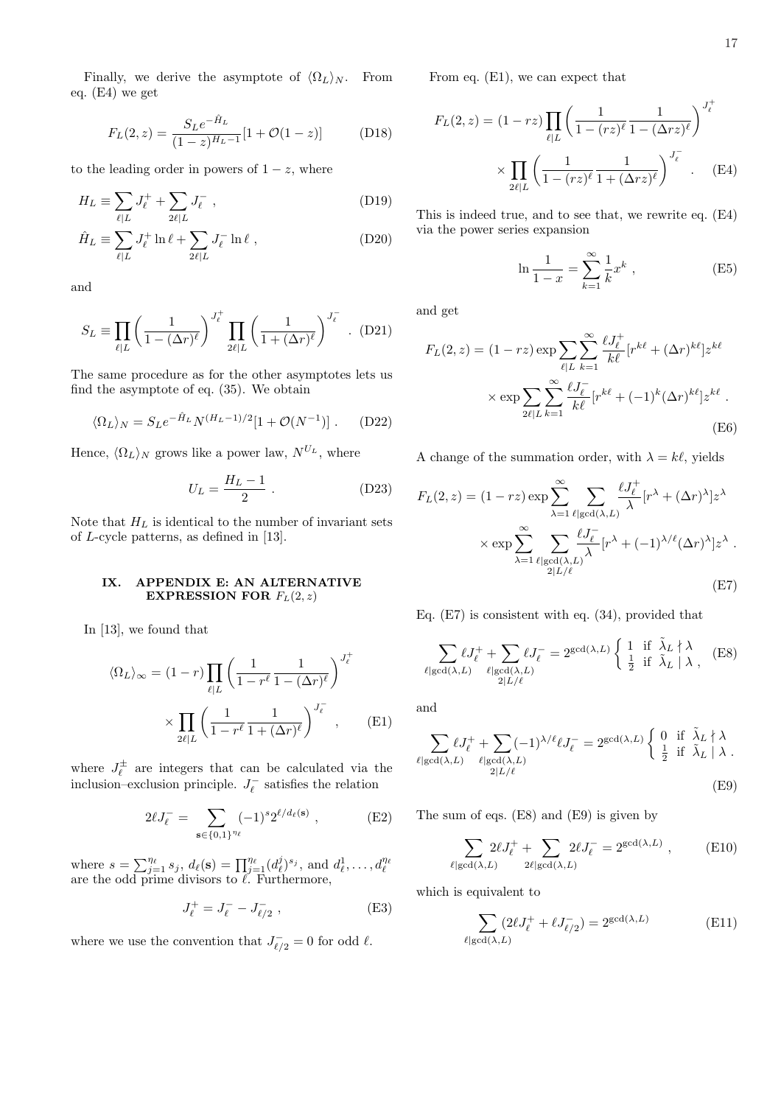Finally, we derive the asymptote of  $\langle \Omega_L \rangle_N$ . From eq. (E4) we get

$$
F_L(2, z) = \frac{S_L e^{-\hat{H}_L}}{(1 - z)^{H_L - 1}} [1 + \mathcal{O}(1 - z)]
$$
 (D18)

to the leading order in powers of  $1 - z$ , where

$$
H_L \equiv \sum_{\ell|L} J_{\ell}^+ + \sum_{2\ell|L} J_{\ell}^- , \qquad (D19)
$$

$$
\hat{H}_L \equiv \sum_{\ell|L} J_\ell^+ \ln \ell + \sum_{2\ell|L} J_\ell^- \ln \ell , \qquad (D20)
$$

and

$$
S_L \equiv \prod_{\ell|L} \left( \frac{1}{1 - (\Delta r)^{\ell}} \right)^{J_{\ell}^{+}} \prod_{2\ell|L} \left( \frac{1}{1 + (\Delta r)^{\ell}} \right)^{J_{\ell}^{-}} .
$$
 (D21)

The same procedure as for the other asymptotes lets us find the asymptote of eq. (35). We obtain

$$
\langle \Omega_L \rangle_N = S_L e^{-\hat{H}_L} N^{(H_L - 1)/2} [1 + \mathcal{O}(N^{-1})] \ . \tag{D22}
$$

Hence,  $\langle \Omega_L \rangle_N$  grows like a power law,  $N^{U_L}$ , where

$$
U_L = \frac{H_L - 1}{2} \ . \eqno{\rm (D23)}
$$

Note that  $H_L$  is identical to the number of invariant sets of L-cycle patterns, as defined in [13].

# IX. APPENDIX E: AN ALTERNATIVE EXPRESSION FOR  $F_L(2, z)$

In [13], we found that

$$
\langle \Omega_L \rangle_{\infty} = (1 - r) \prod_{\ell \mid L} \left( \frac{1}{1 - r^{\ell}} \frac{1}{1 - (\Delta r)^{\ell}} \right)^{J_{\ell}^{+}} \times \prod_{2\ell \mid L} \left( \frac{1}{1 - r^{\ell}} \frac{1}{1 + (\Delta r)^{\ell}} \right)^{J_{\ell}^{-}}, \quad \text{(E1)}
$$

where  $J_{\ell}^{\pm}$  are integers that can be calculated via the inclusion–exclusion principle.  $J_{\ell}^-$  satisfies the relation

$$
2\ell J_{\ell}^- = \sum_{\mathbf{s} \in \{0,1\}^{\eta_{\ell}}} (-1)^s 2^{\ell/d_{\ell}(\mathbf{s})} , \qquad (E2)
$$

where  $s = \sum_{j=1}^{\eta_{\ell}} s_j$ ,  $d_{\ell}(\mathbf{s}) = \prod_{j=1}^{\eta_{\ell}} (d_{\ell}^{j})^{s_j}$ , and  $d_{\ell}^{1}, \ldots, d_{\ell}^{\eta_{\ell}}$  are the odd prime divisors to  $\ell$ . Furthermore,

$$
J_{\ell}^{+} = J_{\ell}^{-} - J_{\ell/2}^{-} , \qquad (E3)
$$

where we use the convention that  $J_{\ell/2}^- = 0$  for odd  $\ell$ .

From eq. (E1), we can expect that

$$
F_L(2, z) = (1 - rz) \prod_{\ell \mid L} \left( \frac{1}{1 - (rz)^{\ell}} \frac{1}{1 - (\Delta rz)^{\ell}} \right)^{J_{\ell}^+}
$$

$$
\times \prod_{2\ell \mid L} \left( \frac{1}{1 - (rz)^{\ell}} \frac{1}{1 + (\Delta rz)^{\ell}} \right)^{J_{\ell}^-} . \quad (E4)
$$

This is indeed true, and to see that, we rewrite eq. (E4) via the power series expansion

$$
\ln \frac{1}{1-x} = \sum_{k=1}^{\infty} \frac{1}{k} x^k , \qquad (E5)
$$

and get

$$
F_L(2, z) = (1 - rz) \exp \sum_{\ell | L} \sum_{k=1}^{\infty} \frac{\ell J_{\ell}^+}{k \ell} [r^{k\ell} + (\Delta r)^{k\ell}] z^{k\ell}
$$

$$
\times \exp \sum_{2\ell | L} \sum_{k=1}^{\infty} \frac{\ell J_{\ell}^-}{k \ell} [r^{k\ell} + (-1)^k (\Delta r)^{k\ell}] z^{k\ell} .
$$
(E6)

A change of the summation order, with  $\lambda = k\ell$ , yields

$$
F_L(2, z) = (1 - rz) \exp \sum_{\lambda=1}^{\infty} \sum_{\ell | \gcd(\lambda, L)} \frac{\ell J_{\ell}^+}{\lambda} [r^{\lambda} + (\Delta r)^{\lambda}] z^{\lambda}
$$

$$
\times \exp \sum_{\lambda=1}^{\infty} \sum_{\ell | \gcd(\lambda, L)} \frac{\ell J_{\ell}^-}{\lambda} [r^{\lambda} + (-1)^{\lambda/\ell} (\Delta r)^{\lambda}] z^{\lambda} .
$$

$$
(E7)
$$

Eq. (E7) is consistent with eq. (34), provided that

$$
\sum_{\ell | \gcd(\lambda, L)} \ell J_{\ell}^{+} + \sum_{\ell | \gcd(\lambda, L)} \ell J_{\ell}^{-} = 2^{\gcd(\lambda, L)} \left\{ \begin{array}{ll} 1 & \text{if } \tilde{\lambda}_{L} \nmid \lambda \\ \frac{1}{2} & \text{if } \tilde{\lambda}_{L} \mid \lambda \end{array} \right. (E8)
$$

and

$$
\sum_{\ell | \gcd(\lambda, L)} \ell J_{\ell}^{+} + \sum_{\ell | \gcd(\lambda, L)} (-1)^{\lambda/\ell} \ell J_{\ell}^{-} = 2^{\gcd(\lambda, L)} \begin{cases} 0 & \text{if } \tilde{\lambda}_{L} \nmid \lambda \\ \frac{1}{2} & \text{if } \tilde{\lambda}_{L} \mid \lambda \\ \end{cases}.
$$
\n(E9)

The sum of eqs. (E8) and (E9) is given by

$$
\sum_{\ell | \gcd(\lambda, L)} 2\ell J_{\ell}^{+} + \sum_{2\ell | \gcd(\lambda, L)} 2\ell J_{\ell}^{-} = 2^{\gcd(\lambda, L)}, \qquad (E10)
$$

which is equivalent to

$$
\sum_{\ell | \gcd(\lambda, L)} (2\ell J_{\ell}^+ + \ell J_{\ell/2}^-) = 2^{\gcd(\lambda, L)} \tag{E11}
$$